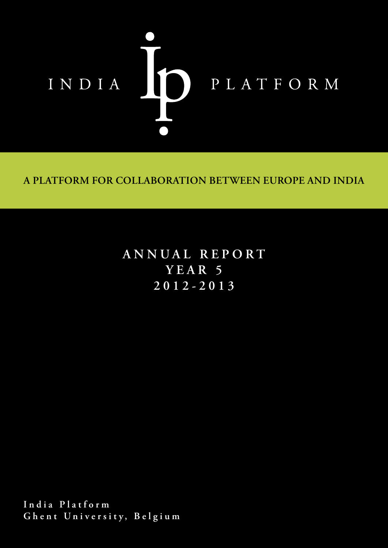

**A PLATFORM FOR COLLABORATION BETWEEN EUROPE AND INDIA**

**ANNUAL REPORT YEAR 5 2012-2013**

**India Platform Ghent University, Belgium**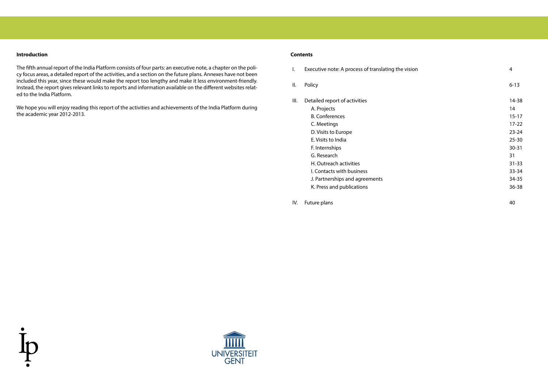# **Introduction**

The fifth annual report of the India Platform consists of four parts: an executive note, a chapter on the policy focus areas, a detailed report of the activities, and a section on the future plans. Annexes have not been included this year, since these would make the report too lengthy and make it less environment-friendly. Instead, the report gives relevant links to reports and information available on the different websites related to the India Platform.

We hope you will enjoy reading this report of the activities and achievements of the India Platform during the academic year 2012-2013.

I. Executive note: A process of translating the vision 4

II. Policy 6-13

III. Detailed report of activities 14-38

A. Projects and the contract of the contract of the contract of the contract of the contract of the contract of the contract of the contract of the contract of the contract of the contract of the contract of the contract o B. Conferences 15-17 C. Meetings 17-22 D. Visits to Europe 23-24 E. Visits to India 25-30 F. Internships 30-31 G. Research 31 H. Outreach activities 31-33 I. Contacts with business 33-34 J. Partnerships and agreements 34-35 K. Press and publications 36-38

IV. Future plans 40



# **Contents**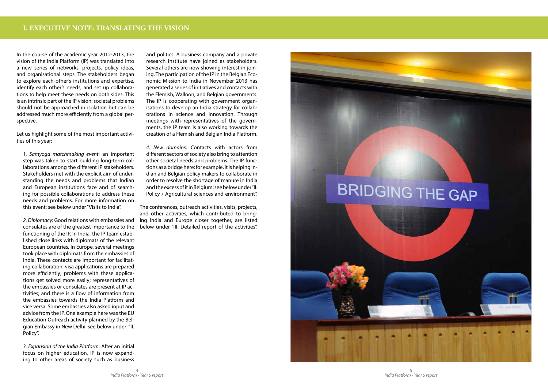In the course of the academic year 2012-2013, the vision of the India Platform (IP) was translated into a new series of networks, projects, policy ideas, and organisational steps. The stakeholders began to explore each other's institutions and expertise, identify each other's needs, and set up collaborations to help meet these needs on both sides. This is an intrinsic part of the IP vision: societal problems should not be approached in isolation but can be addressed much more efficiently from a global perspective.

Let us highlight some of the most important activities of this year:

*1. Samyoga matchmaking event*: an important step was taken to start building long-term collaborations among the different IP stakeholders. Stakeholders met with the explicit aim of understanding the needs and problems that Indian and European institutions face and of searching for possible collaborations to address these needs and problems. For more information on this event: see below under "Visits to India".

*4. New domains*: Contacts with actors from different sectors of society also bring to attention other societal needs and problems. The IP functions as a bridge here: for example, it is helping Indian and Belgian policy makers to collaborate in order to resolve the shortage of manure in India and the excess of it in Belgium: see below under "II. Policy / Agricultural sciences and environment".

*2. Diplomacy*: Good relations with embassies and consulates are of the greatest importance to the functioning of the IP. In India, the IP team established close links with diplomats of the relevant European countries. In Europe, several meetings took place with diplomats from the embassies of India. These contacts are important for facilitating collaboration: visa applications are prepared more efficiently; problems with these applications get solved more easily; representatives of the embassies or consulates are present at IP activities; and there is a flow of information from the embassies towards the India Platform and vice versa. Some embassies also asked input and advice from the IP. One example here was the EU Education Outreach activity planned by the Belgian Embassy in New Delhi: see below under "II. Policy".

*3. Expansion of the India Platform*: After an initial focus on higher education, IP is now expanding to other areas of society such as business and politics. A business company and a private research institute have joined as stakeholders. Several others are now showing interest in joining. The participation of the IP in the Belgian Economic Mission to India in November 2013 has generated a series of initiatives and contacts with the Flemish, Walloon, and Belgian governments. The IP is cooperating with government organisations to develop an India strategy for collaborations in science and innovation. Through meetings with representatives of the governments, the IP team is also working towards the creation of a Flemish and Belgian India Platform.

The conferences, outreach activities, visits, projects, and other activities, which contributed to bringing India and Europe closer together, are listed below under "III. Detailed report of the activities".

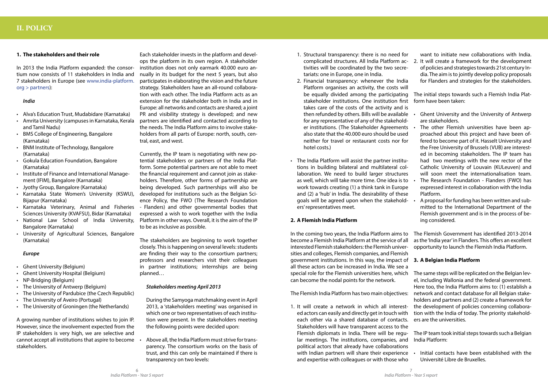# **1. The stakeholders and their role**

In 2013 the India Platform expanded: the consortium now consists of 11 stakeholders in India and 7 stakeholders in Europe (see www.india-platform. org > partners):

# *India*

- • Alva's Education Trust, Mudabidare (Karnataka)
- Amrita University (campuses in Karnataka, Kerala and Tamil Nadu)
- • BMS College of Engineering, Bangalore (Karnataka)
- • BNM Institute of Technology, Bangalore (Karnataka)
- • Gokula Education Foundation, Bangalore (Karnataka)
- Institute of Finance and International Management (IFIM), Bangalore (Karnataka)
- • Jyothy Group, Bangalore (Karnataka)
- • Karnataka State Women's University (KSWU), Bijapur (Karnataka)
- • Karnataka Veterinary, Animal and Fisheries Sciences University (KVAFSU), Bidar (Karnataka)
- • National Law School of India University, Bangalore (Karnataka)
- • University of Agricultural Sciences, Bangalore (Karnataka)

# *Europe*

- • Ghent University (Belgium)
- **Ghent University Hospital (Belgium)**
- • NP-Bridging (Belgium)
- • The University of Antwerp (Belgium)
- The University of Pardubice (the Czech Republic)
- • The University of Aveiro (Portugal)
- • The University of Groningen (the Netherlands)

A growing number of institutions wishes to join IP. However, since the involvement expected from the IP stakeholders is very high, we are selective and cannot accept all institutions that aspire to become stakeholders.

Above all, the India Platform must strive for transparency. The consortium works on the basis of trust, and this can only be maintained if there is transparency on two levels:

Each stakeholder invests in the platform and develops the platform in its own region. A stakeholder institution does not only earmark 40.000 euro annually in its budget for the next 5 years, but also participates in elaborating the vision and the future strategy. Stakeholders have an all-round collaboration with each other. The India Platform acts as an extension for the stakeholder both in India and in Europe: all networks and contacts are shared; a joint PR and visibility strategy is developed; and new partners are identified and contacted according to the needs. The India Platform aims to involve stakeholders from all parts of Europe: north, south, central, east, and west.

Currently, the IP team is negotiating with new potential stakeholders or partners of the India Platform. Some potential partners are not able to meet the financial requirement and cannot join as stakeholders. Therefore, other forms of partnership are being developed. Such partnerships will also be developed for institutions such as the Belgian Science Policy, the FWO (The Research Foundation - Flanders) and other governmental bodies that expressed a wish to work together with the India Platform in other ways. Overall, it is the aim of the IP to be as inclusive as possible.

The stakeholders are beginning to work together closely. This is happening on several levels: students are finding their way to the consortium partners; professors and researchers visit their colleagues in partner institutions; internships are being planned…

# *Stakeholders meeting April 2013*

During the Samyoga matchmaking event in April 2013, a 'stakeholders meeting' was organised in which one or two representatives of each institution were present. In the stakeholders meeting the following points were decided upon:

- 1. Structural transparency: there is no need for complicated structures. All India Platform activities will be coordinated by the two secretariats: one in Europe, one in India. 2. Financial transparency: whenever the India want to initiate new collaborations with India. 2. It will create a framework for the development of policies and strategies towards 21st century India. The aim is to jointly develop policy proposals for Flanders and strategies for the stakeholders.
- Platform organises an activity, the costs will be equally divided among the participating stakeholder institutions. One institution first takes care of the costs of the activity and is then refunded by others. Bills will be available for any representative of any of the stakeholder institutions. (The Stakeholder Agreements also state that the 40.000 euro should be used neither for travel or restaurant costs nor for hotel costs.) The initial steps towards such a Flemish India Platform have been taken: Ghent University and the University of Antwerp are stakeholders. The other Flemish universities have been approached about this project and have been offered to become part of it. Hasselt University and the Free University of Brussels (VUB) are interested in becoming stakeholders. The IP team has had two meetings with the new rector of the Catholic University of Louvain (KULeuven) and
- • The India Platform will assist the partner institutions in building bilateral and multilateral collaboration. We need to build larger structures as well, which will take more time. One idea is to work towards creating (1) a think tank in Europe and (2) a 'hub' in India. The desirability of these goals will be agreed upon when the stakeholders' representatives meet. **2. A Flemish India Platform** will soon meet the internationalisation team. The Research Foundation - Flanders (FWO) has expressed interest in collaboration with the India Platform. A proposal for funding has been written and submitted to the International Department of the Flemish government and is in the process of being considered.

In the coming two years, the India Platform aims to become a Flemish India Platform at the service of all interested Flemish stakeholders: the Flemish universities and colleges, Flemish companies, and Flemish government institutions. In this way, the impact of all these actors can be increased in India. We see a The Flemish Government has identified 2013-2014 as the 'India year' in Flanders. This offers an excellent opportunity to launch the Flemish India Platform. **3. A Belgian India Platform** The same steps will be replicated on the Belgian lev-

special role for the Flemish universities here, which can become the nodal points for the network. The Flemish India Platform has two main objectives: 1. It will create a network in which all interested actors can easily and directly get in touch with each other via a shared database of contacts. el, including Wallonia and the federal government. Here too, the India Platform aims to: (1) establish a network and contact database for all Belgian stakeholders and partners and (2) create a framework for the development of policies concerning collaboration with the India of today. The priority stakeholders are the universities.

Stakeholders will have transparent access to the Flemish diplomats in India. There will be regular meetings. The institutions, companies, and political actors that already have collaborations with Indian partners will share their experience and expertise with colleagues or with those who The IP team took initial steps towards such a Belgian India Platform: Initial contacts have been established with the Université Libre de Bruxelles.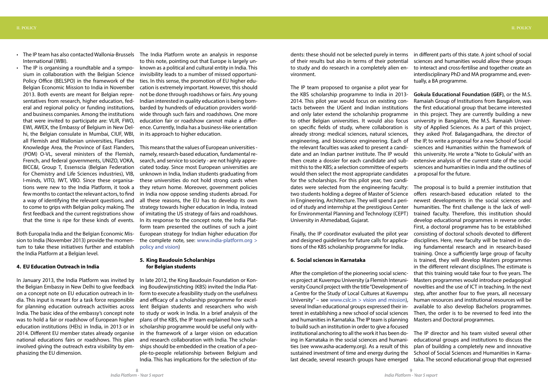- The IP team has also contacted Wallonia-Brussels The India Platform wrote an analysis in response International (WBI).
- The IP is organising a roundtable and a symposium in collaboration with the Belgian Science Policy Office (BELSPO) in the framework of the Belgian Economic Mission to India in November 2013. Both events are meant for Belgian representatives from research, higher education, federal and regional policy or funding institutions, and business companies. Among the institutions that were invited to participate are: VLIR, FWO, EWI, AWEX, the Embassy of Belgium in New Delhi, the Belgian consulate in Mumbai, CIUF, WBI, all Flemish and Wallonian universities, Flanders Knowledge Area, the Province of East Flanders, (POM) O-VL, several ministers of the Flemish, French, and federal governments, UNIZO, VOKA, BICC&I, Group T, Essenscia (Belgian Federation for Chemistry and Life Sciences industries), VIB, I-minds, VITO, IWT, VBO. Since these organisations were new to the India Platform, it took a few months to contact the relevant actors, to find a way of identifying the relevant questions, and first feedback and the current registrations show

Both Europalia India and the Belgian Economic Mission to India (November 2013) provide the momentum to take these initiatives further and establish the India Platform at a Belgian level.

## **4. EU Education Outreach in India**

In January 2013, the India Platform was invited by the Belgian Embassy in New Delhi to give feedback on a concept note on EU education outreach in India. This input is meant for a task force responsible for planning education outreach activities across India. The basic idea of the embassy's concept note was to hold a fair or roadshow of European higher education institutions (HEIs) in India, in 2013 or in 2014. Different EU member states already organise national educations fairs or roadshows. This plan involved giving the outreach extra visibility by emphasizing the EU dimension.

to come to grips with Belgian policy making. The strategy towards higher education in India, instead that the time is ripe for these kinds of events. In its response to the concept note, the India Plat-This means that the values of European universities namely, research-based education, fundamental research, and service to society - are not highly appreciated today. Since most European universities are unknown in India, Indian students graduating from these universities do not hold strong cards when they return home. Moreover, government policies in India now oppose sending students abroad. For all these reasons, the EU has to develop its own of imitating the US strategy of fairs and roadshows. form team presented the outlines of such a joint European strategy for Indian higher education (for the complete note, see: www.india-platform.org > policy and vision)

to this note, pointing out that Europe is largely unknown as a political and cultural entity in India. This invisibility leads to a number of missed opportunities. In this sense, the promotion of EU higher education is extremely important. However, this should not be done through roadshows or fairs. Any young Indian interested in quality education is being bombarded by hundreds of education providers worldwide through such fairs and roadshows. One more education fair or roadshow cannot make a difference. Currently, India has a business-like orientation in its approach to higher education.

# **5. King Baudouin Scholarships for Belgian students**

In late 2012, the King Baudouin Foundation or Koning Boudewijnstichting (KBS) invited the India Platform to execute a feasibility study on the usefulness and efficacy of a scholarship programme for excellent Belgian students and researchers who wish to study or work in India. In a brief analysis of the plans of the KBS, the IP team explained how such a scholarship programme would be useful only within the framework of a larger vision on education and research collaboration with India. The scholarships should be embedded in the creation of a people-to-people relationship between Belgium and India. This has implications for the selection of students: these should not be selected purely in terms of their results but also in terms of their potential to study and do research in a completely alien environment. in different parts of this state. A joint school of social sciences and humanities would allow these groups to interact and cross-fertilise and together create an interdisciplinary PhD and MA programme and, eventually, a BA programme.

The IP team proposed to organise a pilot year for the KBS scholarship programme to India in 2013- 2014. This pilot year would focus on existing contacts between the UGent and Indian institutions and only later extend the scholarship programme to other Belgian universities. It would also focus on specific fields of study, where collaboration is already strong: medical sciences, natural sciences, engineering, and bioscience engineering. Each of the relevant faculties was asked to present a candidate and an Indian partner institute. The IP would then create a dossier for each candidate and submit this to the KBS; a selection committee of experts would then select the most appropriate candidates for the scholarships. For this pilot year, two candidates were selected from the engineering faculty: **Gokula Educational Foundation (GEF)**, or the M.S. Ramaiah Group of Institutions from Bangalore, was the first educational group that became interested in this project. They are currently building a new university in Bangalore, the M.S. Ramaiah University of Applied Sciences. As a part of this project, they asked Prof. Balagangadhara, the director of the IP, to write a proposal for a new School of Social sciences and Humanities within the framework of this university. He wrote a "Note to Gokula" with an extensive analysis of the current state of the social sciences and humanities in India and the outlines of a proposal for the future. The proposal is to build a premier institution that offers research-based education related to the newest developments in the social sciences and humanities. The first challenge is the lack of welltrained faculty. Therefore, this institution should develop educational programmes in reverse order.

two students holding a degree of Master of Science in Engineering, Architecture. They will spend a period of study and internship at the prestigious Center for Environmental Planning and Technology (CEPT) University in Ahmedabad, Gujarat. Finally, the IP coordinator evaluated the pilot year and designed guidelines for future calls for applications of the KBS scholarship programme for India. **6. Social sciences in Karnataka** After the completion of the pioneering social scienc-First, a doctoral programme has to be established consisting of doctoral schools devoted to different disciplines. Here, new faculty will be trained in doing fundamental research and in research-based training. Once a sufficiently large group of faculty is trained, they will develop Masters programmes in the different relevant disciplines. The estimate is that this training would take four to five years. The Masters programmes would introduce pedagogical novelties and the use of ICT in teaching. In the next step, after another four to five years, all necessary human resources and institutional resources will be available to also develop Bachelors programmes. Then, the order is to be reversed to feed into the Masters and Doctoral programmes.

es project at Kuvempu University (a Flemish Interuniversity Council project with the title "Development of a Centre for the Study of Local Cultures at Kuvempu University" – see www.cslc.in  $>$  vision and mission), several Indian educational groups expressed their interest in establishing a new school of social sciences and humanities in Karnataka. The IP team is planning to build such an institution in order to give a focused institutional anchoring to all the work it has been doing in Karnataka in the social sciences and humanities (see www.asha-academy.org). As a result of this sustained investment of time and energy during the last decade, several research groups have emerged The IP director and his team visited several other educational groups and institutions to discuss the plan of building a completely new and innovative School of Social Sciences and Humanities in Karnataka. The second educational group that expressed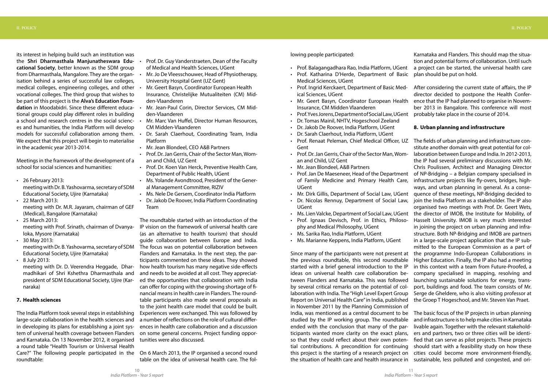its interest in helping build such an institution was

the **Shri Dharmasthala Manjunatheswara Educational Society**, better known as the SDM group from Dharmasthala, Mangalore. They are the organisation behind a series of successful law colleges, medical colleges, engineering colleges, and other vocational colleges. The third group that wishes to be part of this project is the **Alva's Education Foundation** in Moodabidri. Since these different educational groups could play different roles in building a school and research centres in the social sciences and humanities, the India Platform will develop models for successful collaboration among them. . We expect that this project will begin to materialise in the academic year 2013-2014.

- • 26 February 2013: meeting with Dr. B. Yashovarma, secretary of SDM Educational Society, Ujire (Karnataka)
- 22 March 2013: meeting with Dr. M.R. Jayaram, chairman of GEF (Medical), Bangalore (Karnataka)
- 25 March 2013: meeting with Prof. Srinath, chairman of Dvanyaloka, Mysore (Karnataka)
- $\cdot$  30 May 2013: meeting with Dr. B. Yashovarma, secretary of SDM Educational Society, Ujire (Karnataka)
- $\cdot$  8 July 2013:

Meetings in the framework of the development of a school for social sciences and humanities:

meeting with Dr. D. Veerendra Heggade, Dharmadhikari of Shri Kshethra Dharmasthala and president of SDM Educational Society, Ujire (Karnaraka)

- Prof. Dr. Guy Vanderstraeten, Dean of the Faculty of Medical and Health Sciences, UGent
- Mr. Jo De Vleesschouwer, Head of Physiotherapy, University Hospital Gent (UZ Gent)
- Mr. Geert Basyn, Coordinator European Health Insurance, Christelijke Mutualiteiten (CM) Midden-Vlaanderen
- Mr. Jean-Paul Corin, Director Services, CM Midden-Vlaanderen
- Mr. Marc Van Huffel, Director Human Resources, CM Midden-Vlaanderen
- Dr. Sarah Claerhout, Coordinating Team, India Platform
- Mr. Jean Blondeel, CEO A&B Partners
- Prof. Dr. Jan Gerris, Chair of the Sector Man, Woman and Child, UZ Gent
- Prof. Dr. Koen Van Herck, Preventive Health Care, Department of Public Health, UGent
- • Ms. Yolande Avondtrood, President of the General Management Committee, RIZIV
- Ms. Nele De Gersem, Coordinator India Platform
- Dr. Jakob De Roover, India Platform Coordinating Team

### **7. Health sciences**

The India Platform took several steps in establishing large-scale collaboration in the health sciences and in developing its plans for establishing a joint system of universal health coverage between Flanders and Karnataka. On 13 November 2012, it organised a round table "Health Tourism or Universal Health Care?" The following people participated in the roundtable:

- Prof. Balagangadhara Rao, India Platform, UGent a project can be started, the universal health care
- • Prof. Katharina D'Herde, Department of Basic Medical Sciences, UGent
- Prof. Ingrid Kerckaert, Department of Basic Medical Sciences, UGent
- Mr. Geert Basyn, Coordinator European Health Insurance, CM Midden Vlaanderen
- Prof.YvesJorens,DepartmentofSocialLaw,UGent
- Dr. Tomas Mainil, NHTV, Hogeschool Zeeland
- • Dr. Jakob De Roover, India Platform, UGent
- Dr. Sarah Claerhout, India Platform, UGent
- Gent
- Prof. Dr. Jan Gerris, Chair of the Sector Man, Woman and Child, UZ Gent
- • Mr. Jean Blondeel, A&B Partners
- Prof. Jan De Maeseneer, Head of the Department of Family Medicine and Primary Health Care, UGent
- Mr. Dirk Gillis, Department of Social Law, UGent
- Dr. Nicolas Rennuy, Department of Social Law, UGent
- Ms. Lien Valcke, Department of Social Law, UGent
- Prof. Ignaas Devisch, Prof. in Ethics, Philosophy and Medical Philosophy, UGent
- • Ms. Sarika Rao, India Platform, UGent
- • Ms. Marianne Keppens, India Platform, UGent

The roundtable started with an introduction of the IP vision on the framework of universal health care (as an alternative to health tourism) that should guide collaboration between Europe and India. The focus was on potential collaboration between Flanders and Karnataka. In the next step, the participants commented on these ideas. They showed how health tourism has many negative side-effects and needs to be avoided at all cost. They appreciated the opportunities that collaboration with India can offer for coping with the growing shortage of financial means in health care in Flanders. The roundtable participants also made several proposals as to the joint health care model that could be built. Experiences were exchanged. This was followed by a number of reflections on the role of cultural differences in health care collaboration and a discussion on some general concerns. Project funding opportunities were also discussed.

• Prof. Renaat Peleman, Chief Medical Officer, UZ The fields of urban planning and infrastructure constitute another domain with great potential for collaboration between Europe and India. In 2012-2013, the IP had several preliminary discussions with Mr. Chris Poulissen, Architect and Managing Director of NP-Bridging – a Belgian company specialised in infrastructure projects like fly-overs, bridges, highways, and urban planning in general. As a consequence of these meetings, NP-Bridging decided to join the India Platform as a stakeholder. The IP also organised two meetings with Prof. Dr. Geert Wets, the director of IMOB, the Institute for Mobility, of Hasselt University. IMOB is very much interested in joining the project on urban planning and infrastructure. Both NP-Bridging and IMOB are partners in a large-scale project application that the IP submitted to the European Commission as a part of the programme Indo-European Collaborations in

On 6 March 2013, the IP organised a second round table on the idea of universal health care. The fol-

Karnataka and Flanders. This should map the situation and potential forms of collaboration. Until such plan should be put on hold.

After considering the current state of affairs, the IP director decided to postpone the Health Conference that the IP had planned to organise in November 2013 in Bangalore. This conference will most probably take place in the course of 2014.

# **8. Urban planning and infrastructure**

Since many of the participants were not present at the previous roundtable, this second roundtable started with a brief general introduction to the IP ideas on universal health care collaboration between Flanders and Karnataka. This was followed by several critical remarks on the potential of collaboration with India. The "High Level Expert Group Report on Universal Health Care" in India, published in November 2011 by the Planning Commission of India, was mentioned as a central document to be The basic focus of the IP projects in urban planning studied by the IP working group. The roundtable ended with the conclusion that many of the participants wanted more clarity on the exact plans, so that they could reflect about their own potential contributions. A precondition for continuing this project is the starting of a research project on the situation of health care and health insurance in Higher Education. Finally, the IP also had a meeting in this context with a team from Future-Proofed, a company specialised in mapping, resolving and launching sustainable solutions for energy, transport, buildings and food. The team consists of Mr. Serge de Gheldere, who is also visiting professor at the Groep T Hogeschool, and Mr. Steven Van Praet. and infrastructure is to help make cities in Karnataka livable again. Together with the relevant stakeholders and partners, two or three cities will be identified that can serve as pilot projects. These projects should start with a feasibility study on how these cities could become more environment-friendly, sustainable, less polluted and congested, and ori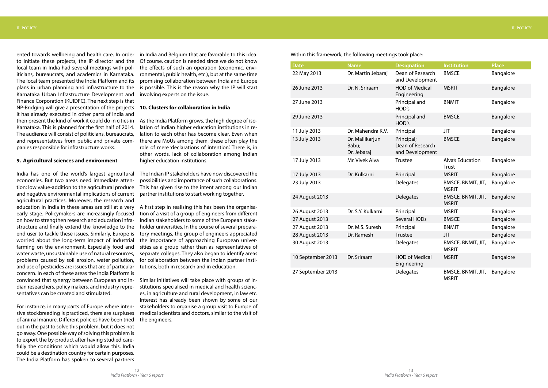ented towards wellbeing and health care. In order to initiate these projects, the IP director and the local team in India had several meetings with politicians, bureaucrats, and academics in Karnataka. The local team presented the India Platform and its plans in urban planning and infrastructure to the Karnataka Urban Infrastructure Development and Finance Corporation (KUIDFC). The next step is that NP-Bridging will give a presentation of the projects it has already executed in other parts of India and then present the kind of work it could do in cities in As the India Platform grows, the high degree of iso-Karnataka. This is planned for the first half of 2014. The audience will consist of politicians, bureaucrats, and representatives from public and private companies responsible for infrastructure works.

#### **9. Agricultural sciences and environment**

India has one of the world's largest agricultural economies. But two areas need immediate attention: low value-addition to the agricultural produce and negative environmental implications of current agricultural practices. Moreover, the research and education in India in these areas are still at a very early stage. Policymakers are increasingly focused on how to strengthen research and education infrastructure and finally extend the knowledge to the end user to tackle these issues. Similarly, Europe is worried about the long-term impact of industrial farming on the environment. Especially food and water waste, unsustainable use of natural resources, problems caused by soil erosion, water pollution, and use of pesticides are issues that are of particular concern. In each of these areas the India Platform is convinced that synergy between European and Indian researchers, policy makers, and industry representatives can be created and stimulated.

For instance, in many parts of Europe where intensive stockbreeding is practiced, there are surpluses of animal manure. Different policies have been tried out in the past to solve this problem, but it does not go away. One possible way of solving this problem is to export the by-product after having studied carefully the conditions which would allow this. India could be a destination country for certain purposes. The India Platform has spoken to several partners

in India and Belgium that are favorable to this idea. Of course, caution is needed since we do not know the effects of such an operation (economic, environmental, public health, etc.), but at the same time promising collaboration between India and Europe is possible. This is the reason why the IP will start involving experts on the issue.

#### **10. Clusters for collaboration in India**

lation of Indian higher education institutions in relation to each other has become clear. Even when there are MoUs among them, these often play the role of mere 'declarations of intention'. There is, in other words, lack of collaboration among Indian higher education institutions.

The Indian IP stakeholders have now discovered the possibilities and importance of such collaborations. This has given rise to the intent among our Indian partner institutions to start working together.

A first step in realising this has been the organisation of a visit of a group of engineers from different Indian stakeholders to some of the European stakeholder universities. In the course of several preparatory meetings, the group of engineers appreciated the importance of approaching European universities as a group rather than as representatives of separate colleges. They also began to identify areas for collaboration between the Indian partner institutions, both in research and in education.

Similar initiatives will take place with groups of institutions specialised in medical and health sciences, in agriculture and rural development, in law etc. Interest has already been shown by some of our stakeholders to organise a group visit to Europe of medical scientists and doctors, similar to the visit of the engineers.

| <b>Date</b>       | <b>Name</b>                             | <b>Designation</b>                                | <b>Institution</b>                        | <b>Place</b> |
|-------------------|-----------------------------------------|---------------------------------------------------|-------------------------------------------|--------------|
| 22 May 2013       | Dr. Martin Jebaraj                      | Dean of Research<br>and Development               | <b>BMSCE</b>                              | Bangalore    |
| 26 June 2013      | Dr. N. Sriraam                          | <b>HOD of Medical</b><br>Engineering              | <b>MSRIT</b>                              | Bangalore    |
| 27 June 2013      |                                         | Principal and<br>HOD's                            | <b>BNMIT</b>                              | Bangalore    |
| 29 June 2013      |                                         | Principal and<br>HOD's                            | <b>BMSCE</b>                              | Bangalore    |
| 11 July 2013      | Dr. Mahendra K.V.                       | Principal                                         | <b>JIT</b>                                | Bangalore    |
| 13 July 2013      | Dr. Mallikarjun<br>Babu;<br>Dr. Jebaraj | Principal;<br>Dean of Research<br>and Development | <b>BMSCE</b>                              | Bangalore    |
| 17 July 2013      | Mr. Vivek Alva                          | <b>Trustee</b>                                    | Alva's Education<br><b>Trust</b>          | Bangalore    |
| 17 July 2013      | Dr. Kulkarni                            | Principal                                         | <b>MSRIT</b>                              | Bangalore    |
| 23 July 2013      |                                         | <b>Delegates</b>                                  | <b>BMSCE, BNMIT, JIT,</b><br><b>MSRIT</b> | Bangalore    |
| 24 August 2013    |                                         | <b>Delegates</b>                                  | <b>BMSCE, BNMIT, JIT,</b><br><b>MSRIT</b> | Bangalore    |
| 26 August 2013    | Dr. S.Y. Kulkarni                       | Principal                                         | <b>MSRIT</b>                              | Bangalore    |
| 27 August 2013    |                                         | Several HODs                                      | <b>BMSCE</b>                              | Bangalore    |
| 27 August 2013    | Dr. M.S. Suresh                         | Principal                                         | <b>BNMIT</b>                              | Bangalore    |
| 28 August 2013    | Dr. Ramesh                              | <b>Trustee</b>                                    | <b>JIT</b>                                | Bangalore    |
| 30 August 2013    |                                         | Delegates                                         | <b>BMSCE, BNMIT, JIT,</b><br><b>MSRIT</b> | Bangalore    |
| 10 September 2013 | Dr. Sriraam                             | <b>HOD of Medical</b><br>Engineering              | <b>MSRIT</b>                              | Bangalore    |
| 27 September 2013 |                                         | <b>Delegates</b>                                  | <b>BMSCE, BNMIT, JIT,</b><br><b>MSRIT</b> | Bangalore    |

Within this framework, the following meetings took place: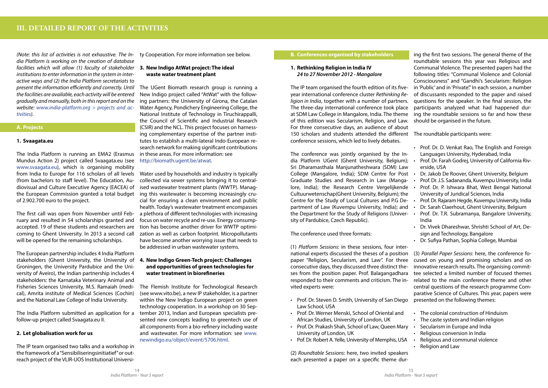*(Note: this list of activities is not exhaustive. The India Platform is working on the creation of database facilities which will allow (1) faculty of stakeholder*  **3. New Indigo AtWat project: The ideal**  *institutions to enter information in the system in interactive ways and (2) the India Platform secretariats to present the information efficiently and correctly. Until the facilities are available, each activity will be entered gradually and manually, both in this report and on the website: www.india-platform.org > projects and activities).*

# **A. Projects**

# **1. Svaagata.eu**

The India Platform is running an EMA2 (Erasmus Mundus Action 2) project called Svaagata.eu (see www.svaagata.eu), which is organising mobility from India to Europe for 116 scholars of all levels Water used by households and industry is typically (from bachelors to staff level). The Education, Audiovisual and Culture Executive Agency (EACEA) of the European Commission granted a total budget ing this wastewater is becoming increasingly cruof 2.902.700 euro to the project.

The first call was open from November until February and resulted in 54 scholarships granted and accepted. 19 of these students and researchers are coming to Ghent University. In 2013 a second call will be opened for the remaining scholarships.

The European partnership includes 4 India Platform stakeholders (Ghent University, the University of Groningen, the University Pardubice and the University of Aveiro), the Indian partnership includes 4 stakeholders: the Karnataka Veterinary Animal and Fisheries Sciences University, M.S. Ramaiah (medical), Amrita institute of Medical Sciences (Cochin) and the National Law College of India University.

The India Platform submitted an application for a follow-up project called Svaagata.eu II.

# **2. Let globalisation work for us**

The IP team organised two talks and a workshop in the framework of a "Sensibiliseringsinitiatief" or outreach project of the VLIR-UOS Institutional Universi-

ty Cooperation. For more information see below.

# **waste water treatment plant**

The UGent Biomath research group is running a New Indigo project called "AtWat" with the following partners: the University of Girona, the Catalan Water Agency, Pondichery Engineering College, the National Institute of Technology in Tiruchirappalli, the Council of Scientific and Industrial Research (CSIR) and the NCL. This project focuses on harnessing complementary expertise of the partner institutes to establish a multi-lateral Indo-European research network for making significant contributions in these areas. For more information: see http://biomath.ugent.be/atwat.

- Law School, USA
- • Prof. Dr. Werner Menski, School of Oriental and African Studies, University of London, UK
- Prof. Dr. Prakash Shah, School of Law, Queen Mary University of London, UK • Secularism in Europe and India Religious conversion in India
- Pof. Dr. Robert A. Yelle, University of Memphis, USA

collected via sewer systems bringing it to centralised wastewater treatment plants (WWTP). Managcial for ensuring a clean environment and public health. Today's wastewater treatment encompasses a plethora of different technologies with increasing focus on water recycle and re-use. Energy consumption has become another driver for WWTP optimization as well as carbon footprint. Micropollutants have become another worrying issue that needs to be addressed in urban wastewater systems.

# **4. New Indigo Green-Tech project: Challenges and opportunities of green technologies for water treatment in biorefineries**

The Flemish Institute for Technological Research (see www.vito.be), a new IP stakeholder, is a partner within the New Indigo European project on green technology cooperation. In a workshop on 30 September 2013, Indian and European specialists presented new concepts leading to greentech use of all components from a bio-refinery including waste and wastewater. For more information: see www. newindigo.eu/object/event/5706.html.

- • The colonial construction of Hinduism
- • The caste system and Indian religion
- • Religious and communal violence
- **Religion and Law**

# **B. Conferences organised by stakeholders**

# **1. Rethinking Religion in India IV**  *24 to 27 November 2012 - Mangalore*

The conference was jointly organised by the India Platform UGent (Ghent University, Belgium); Sri Dharamasthala Manjunatheshwara (SDM) Law College (Mangalore, India); SDM Centre for Post . Graduate Studies and Research in Law (Mangalore, India); the Research Centre Vergelijkende Cultuurwetenschap(Ghent University, Belgium); the Centre for the Study of Local Cultures and P.G Department of Law (Kuvempu University, India); and the Department for the Study of Religions (Univer- • sity of Pardubice, Czech Republic).

The conference used three formats:

The IP team organised the fourth edition of its fiveyear international conference cluster *Rethinking Religion in India*, together with a number of partners. The three-day international conference took place at SDM Law College in Mangalore, India. The theme ing the roundtable sessions so far and how these of this edition was Secularism, Religion, and Law. For three consecutive days, an audience of about 150 scholars and students attended the different The roundtable participants were: conference sessions, which led to lively debates. should be organised in the future.

(2) *Roundtable Sessions*: here, two invited speakers each presented a paper on a specific theme dur-

ing the first two sessions. The general theme of the roundtable sessions this year was Religious and Communal Violence. The presented papers had the following titles: "Communal Violence and Colonial Consciousness" and "Gandhi's Secularism: Religion in 'Public' and in 'Private". In each session, a number of discussants responded to the paper and raised questions for the speaker. In the final session, the participants analyzed what had happened dur-

- Prof. Dr. D. Venkat Rao, The English and Foreign Languages University, Hyderabad, India
- Prof. Dr. Farah Godrej, University of California Riverside, USA
- Dr. Jakob De Roover, Ghent University, Belgium
- Prof. Dr. J.S. Sadananda, Kuvempu University, India
- Prof. Dr. P. Ishwara Bhat, West Bengal National University of Juridical Sciences, India
- Prof. Dr. Rajaram Hegde, Kuvempu University, India
- Dr. Sarah Claerhout, Ghent University, Belgium
- Prof. Dr. T.R. Subramanya, Bangalore University, India
- Dr. Vivek Dhareshwar, Shrishti School of Art, Design and Technology, Bangalore
- Dr. Sufiya Pathan, Sophia College, Mumbai

(1) *Platform Sessions*: in these sessions, four international experts discussed the theses of a position paper "Religion, Secularism, and Law". For three consecutive days, they discussed three distinct theses from the position paper. Prof. Balagangadhara responded to their comments and criticism. The invited experts were: • Prof. Dr. Steven D. Smith, University of San Diego (3) *Parallel Paper Sessions*: here, the conference focused on young and promising scholars and on innovative research results. The organising committee selected a limited number of focused themes related to the main conference theme and other central questions of the research programme Comparative Science of Cultures. This year, papers were presented on the following themes: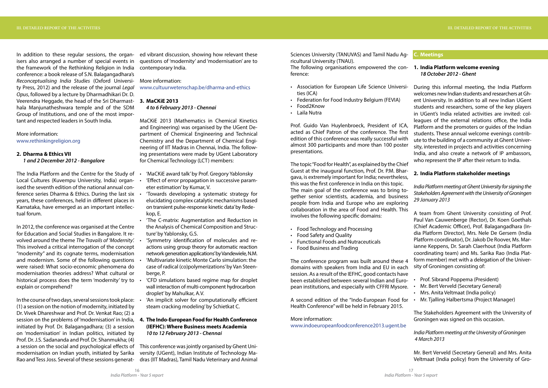In addition to these regular sessions, the organ-ed vibrant discussion, showing how relevant these isers also arranged a number of special events in the framework of the Rethinking Religion in India contemporary India. conference: a book release of S.N. Balagangadhara's *Reconceptualising India Studies* (Oxford Universi-More information: ty Press, 2012) and the release of the journal *Legal Opus*, followed by a lecture by Dharmadhikari Dr. D. Veerendra Heggade, the head of the Sri Dharmast-**3. MaCKiE 2013** hala Manjunatheshwara temple and of the SDM Group of Institutions, and one of the most important and respected leaders in South India.

# More information: www.rethinkingreligion.org

# **2. Dharma & Ethics VII** *1 and 2 December 2012 - Bangalore*

The India Platform and the Centre for the Study of Local Cultures (Kuvempu University, India) organ- • ised the seventh edition of the national annual conference series Dharma & Ethics. During the last six years, these conferences, held in different places in Karnataka, have emerged as an important intellectual forum.

In 2012, the conference was organised at the Centre for Education and Social Studies in Bangalore. It revolved around the theme *The Travails of 'Modernity'.* This involved a critical interrogation of the concept "modernity" and its cognate terms, modernisation and modernism. Some of the following questions were raised: What socio-economic phenomena do modernisation theories address? What cultural or historical process does the term 'modernity' try to . explain or comprehend?

In the course of two days, several sessions took place: (1) a session on the notion of modernity, initiated by Dr. Vivek Dhareshwar and Prof. Dr. Venkat Rao; (2) a session on the problems of 'modernisation' in India, initiated by Prof. Dr. Balagangadhara; (3) a session on 'modernisation' in Indian politics, initiated by Prof. Dr. J.S. Sadananda and Prof. Dr. Shanmukha; (4) a session on the social and psychological effects of modernisation on Indian youth, initiated by Sarika Rao and Tess Joss. Several of these sessions generat-

questions of 'modernity' and 'modernisation' are to

www.cultuurwetenschap.be/dharma-and-ethics

#### *4 to 6 February 2013 - Chennai*

MaCKiE 2013 (Mathematics in Chemical Kinetics and Engineering) was organised by the UGent Department of Chemical Engineering and Technical Chemistry and the Department of Chemical Engineering of IIT Madras in Chennai, India. The following presentations were made by UGent Laboratory for Chemical Technology (LCT) members:

- • 'MaCKiE award talk'by Prof. Gregory Yablonsky
- 'Effect of error propagation in successive parameter estimation' by Kumar, V.
- 'Towards developing a systematic strategy for elucidating complex catalytic mechanisms based on transient pulse-response kinetic data' by Redekop, E.
- • 'The C-matrix: Augmentation and Reduction in the Analysis of Chemical Composition and Structure' by Yablonsky, G.S.
- 'Symmetry identification of molecules and reactions using group theory for automatic reaction network generation applications' by Vandewiele, N.M.
- 'Multivariate kinetic Monte Carlo simulation: the case of radical (co)polymerizations'by Van Steenberge, P.
- • 'CFD simulations based regime map for droplet wall interaction of multi-component hydrocarbon droplet' by Mahulkar, A.V.
- 'An implicit solver for computationally efficient steam cracking modeling' by Schietkat C.
- **Prof. Sibrand Poppema (President)**
- 
- • Mrs. Anita Veltmaat (India policy)
- • Mr. Tjalling Halbertsma (Project Manager)

# **4. The Indo-European Food for Health Conference (IEFHC): Where Business meets Academia** *10 to 12 February 2013 - Chennai*

This conference was jointly organised by Ghent University (UGent), Indian Institute of Technology Madras (IIT Madras), Tamil Nadu Veterinary and Animal Sciences University (TANUVAS) and Tamil Nadu Agricultural University (TNAU).

The following organisations empowered the con-**1. India Platform welcome evening** ference:

- • Association for European Life Science Universities (ICA)
- 
- 
- • Laila Nutra

- • Food Technology and Processing
- • Food Safety and Quality
- • Functional Foods and Nutraceuticals
- • Food Business and Trading

• Federation for Food Industry Belgium (FEVIA) Food2Know Prof. Guido Van Huylenbroeck, President of ICA, acted as Chief Patron of the conference. The first edition of this conference was really successful with almost 300 participants and more than 100 poster presentations. During this informal meeting, the India Platform welcomes new Indian students and researchers at Ghent University. In addition to all new Indian UGent students and researchers, some of the key players in UGent's India related activities are invited: colleagues of the external relations office, the India Platform and the promoters or guides of the Indian students. These annual welcome evenings contribute to the building of a community at Ghent University, interested in projects and activities concerning India, and also create a network of IP ambassors, who represent the IP after their return to India.

A second edition of the "Indo-European Food for Health Conference" will be held in February 2015.

The topic "Food for Health", as explained by the Chief Guest at the inaugural function, Prof. Dr. P.M. Bhargava, is extremely important for India; nevertheless, this was the first conference in India on this topic. The main goal of the conference was to bring together senior scientists, academia, and business people from India and Europe who are exploring collaboration in the area of Food and Health. This involves the following specific domains: **2. India Platform stakeholder meetings** *India Platform meeting at Ghent University for signing the Stakeholders Agreement with the University of Groningen 29 January 2013* A team from Ghent University consisting of Prof.

More information: www.indoeuropeanfoodconference2013.ugent.be

# **C. Meetings**

# *18 October 2012 - Ghent*

The conference program was built around these 4 domains with speakers from India and EU in each session. As a result of the IEFHC, good contacts have been established between several Indian and European institutions, and especially with CFFRI Mysore. • Mr. Bert Verveld (Secretary General)

Paul Van Cauwenberge (Rector), Dr. Koen Goethals (Chief Academic Officer), Prof. Balagangadhara (India Platform Director), Mrs. Nele De Gersem (India Platform coordinator), Dr. Jakob De Roover, Ms. Marianne Keppens, Dr. Sarah Claerhout (India Platform coordinating team) and Ms. Sarika Rao (India Platform member) met with a delegation of the University of Groningen consisting of:

The Stakeholders Agreement with the University of Groningen was signed on this occasion.

# *India Platform meeting at the University of Groningen 4 March 2013*

Mr. Bert Verveld (Secretary General) and Mrs. Anita Veltmaat (India policy) from the University of Gro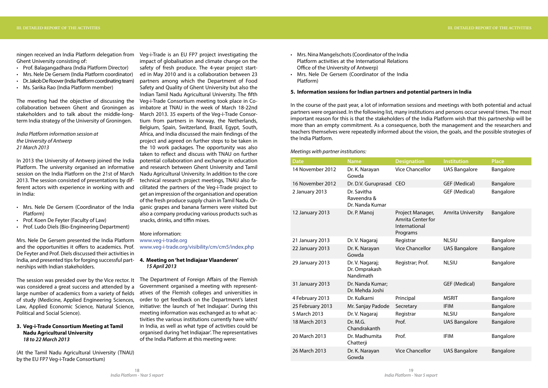ningen received an India Platform delegation from Ghent University consisting of:

- • Prof. Balagangadhara (India Platform Director)
- • Mrs. Nele De Gersem (India Platform coordinator)
- Dr. Jakob De Roover (India Platform coordinating team)
- • Ms. Sarika Rao (India Platform member)

The meeting had the objective of discussing the Veg-i-Trade Consortium meeting took place in Cocollaboration between Ghent and Groningen as stakeholders and to talk about the middle-longterm India strategy of the University of Groningen.

- Mrs. Nele De Gersem (Coordinator of the India Platform)
- • Prof. Koen De Feyter (Faculty of Law)
- • Prof. Ludo Diels (Bio-Engineering Department)

*India Platform information session at the University of Antwerp 21 March 2013*

In 2013 the University of Antwerp joined the India Platform. The university organised an informative session on the India Platform on the 21st of March 2013. The session consisted of presentations by different actors with experience in working with and in India:

Mrs. Nele De Gersem presented the India Platform and the opportunities it offers to academics. Prof. De Feyter and Prof. Diels discussed their activities in India, and presented tips for forging successful partnerships with Indian stakeholders.

The session was presided over by the Vice rector. It was considered a great success and attended by a large number of academics from a variety of fields atives of the Flemish colleges and universities in of study (Medicine, Applied Engineering Sciences, Law, Applied Economic Science, Natural Science, Political and Social Science).

# **3. Veg-i-Trade Consortium Meeting at Tamil Nadu Agricultural University** *18 to 22 March 2013*

(At the Tamil Nadu Agricultural University (TNAU) by the EU FP7 Veg-i-Trade Consortium)

Veg-i-Trade is an EU FP7 project investigating the impact of globalisation and climate change on the safety of fresh produce. The 4-year project started in May 2010 and is a collaboration between 23 partners among which the Department of Food Safety and Quality of Ghent University but also the Indian Tamil Nadu Agricultural University. The fifth imbatore at TNAU in the week of March 18‐22nd March 2013. 35 experts of the Veg-i-Trade Consortium from partners in Norway, the Netherlands, Belgium, Spain, Switzerland, Brazil, Egypt, South, Africa, and India discussed the main findings of the project and agreed on further steps to be taken in the 10 work packages. The opportunity was also taken to reflect and discuss with TNAU on further potential collaboration and exchange in education and research between Ghent University and Tamil Nadu Agricultural University. In addition to the core technical research project meetings, TNAU also facilitated the partners of the Veg-i-Trade project to get an impression of the organisation and operation of the fresh produce supply chain in Tamil Nadu. Organic grapes and banana farmers were visited but also a company producing various products such as snacks, drinks, and tiffin mixes.

- Mrs. Nina Mangelschots (Coordinator of the India Platform activities at the International Relations Office of the University of Antwerp)
- Mrs. Nele De Gersem (Coordinator of the India Platform)

# More information:

www.veg-i-trade.org www.veg-i-trade.org/visibility/cm/cm5/index.php

# **4. Meeting on 'het Indiajaar Vlaanderen'**  *15 April 2013*

The Department of Foreign Affairs of the Flemish Government organised a meeting with representorder to get feedback on the Department's latest initiative: the launch of 'het Indiajaar'. During this meeting information was exchanged as to what activities the various institutions currently have with/ in India, as well as what type of activities could be organised during 'het Indiajaar'. The representatives of the India Platform at this meeting were:

# **5. Information sessions for Indian partners and potential partners in India**

In the course of the past year, a lot of information sessions and meetings with both potential and actual partners were organised. In the following list, many institutions and persons occur several times. The most important reason for this is that the stakeholders of the India Platform wish that this partnership will be more than an empty commitment. As a consequence, both the management and the researchers and teachers themselves were repeatedly informed about the vision, the goals, and the possible strategies of the India Platform.

# *Meetings with partner institutions:*

| <b>Date</b>      | <b>Name</b>                                   | <b>Designation</b>                                                        | <b>Institution</b>       | <b>Place</b> |
|------------------|-----------------------------------------------|---------------------------------------------------------------------------|--------------------------|--------------|
| 14 November 2012 | Dr. K. Narayan<br>Gowda                       | <b>Vice Chancellor</b>                                                    | <b>UAS Bangalore</b>     | Bangalore    |
| 16 November 2012 | Dr. D.V. Guruprasad CEO                       |                                                                           | <b>GEF (Medical)</b>     | Bangalore    |
| 2 January 2013   | Dr. Savitha<br>Raveendra &<br>Dr. Nanda Kumar |                                                                           | <b>GEF (Medical)</b>     | Bangalore    |
| 12 January 2013  | Dr. P. Manoj                                  | Project Manager,<br><b>Amrita Center for</b><br>International<br>Programs | <b>Amrita University</b> | Bangalore    |
| 21 January 2013  | Dr. V. Nagaraj                                | Registrar                                                                 | <b>NLSIU</b>             | Bangalore    |
| 22 January 2013  | Dr. K. Narayan<br>Gowda                       | <b>Vice Chancellor</b>                                                    | <b>UAS Bangalore</b>     | Bangalore    |
| 29 January 2013  | Dr. V. Nagaraj;<br>Dr. Omprakash<br>Nandimath | Registrar; Prof.                                                          | <b>NLSIU</b>             | Bangalore    |
| 31 January 2013  | Dr. Nanda Kumar;<br>Dr. Mehda Joshi           |                                                                           | <b>GEF (Medical)</b>     | Bangalore    |
| 4 February 2013  | Dr. Kulkarni                                  | Principal                                                                 | <b>MSRIT</b>             | Bangalore    |
| 25 February 2013 | Mr. Sanjay Padode                             | Secretary                                                                 | <b>IFIM</b>              | Bangalore    |
| 5 March 2013     | Dr. V. Nagaraj                                | Registrar                                                                 | <b>NLSIU</b>             | Bangalore    |
| 18 March 2013    | Dr. M.G.<br>Chandrakanth                      | Prof.                                                                     | <b>UAS Bangalore</b>     | Bangalore    |
| 20 March 2013    | Dr. Madhumita<br>Chatterji                    | Prof.                                                                     | <b>IFIM</b>              | Bangalore    |
| 26 March 2013    | Dr. K. Narayan<br>Gowda                       | <b>Vice Chancellor</b>                                                    | <b>UAS Bangalore</b>     | Bangalore    |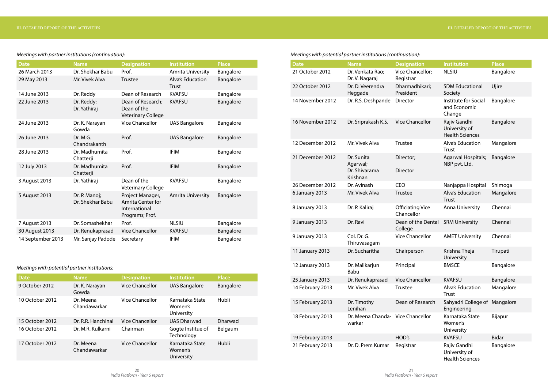| <b>Date</b>       | <b>Name</b>                       | <b>Designation</b>                                                               | <b>Institution</b>                      | <b>Place</b> |
|-------------------|-----------------------------------|----------------------------------------------------------------------------------|-----------------------------------------|--------------|
| 26 March 2013     | Dr. Shekhar Babu                  | Prof.                                                                            | <b>Amrita University</b>                | Bangalore    |
| 29 May 2013       | Mr. Vivek Alva                    | <b>Trustee</b>                                                                   | <b>Alva's Education</b><br><b>Trust</b> | Bangalore    |
| 14 June 2013      | Dr. Reddy                         | Dean of Research                                                                 | <b>KVAFSU</b>                           | Bangalore    |
| 22 June 2013      | Dr. Reddy;<br>Dr. Yathiraj        | Dean of Research;<br>Dean of the<br><b>Veterinary College</b>                    | <b>KVAFSU</b>                           | Bangalore    |
| 24 June 2013      | Dr. K. Narayan<br>Gowda           | <b>Vice Chancellor</b>                                                           | <b>UAS Bangalore</b>                    | Bangalore    |
| 26 June 2013      | Dr. M.G.<br>Chandrakanth          | Prof.                                                                            | <b>UAS Bangalore</b>                    | Bangalore    |
| 28 June 2013      | Dr. Madhumita<br>Chatterji        | Prof.                                                                            | <b>IFIM</b>                             | Bangalore    |
| 12 July 2013      | Dr. Madhumita<br>Chatterji        | Prof.                                                                            | <b>IFIM</b>                             | Bangalore    |
| 3 August 2013     | Dr. Yathiraj                      | Dean of the<br><b>Veterinary College</b>                                         | <b>KVAFSU</b>                           | Bangalore    |
| 5 August 2013     | Dr. P. Manoj;<br>Dr. Shekhar Babu | Project Manager,<br><b>Amrita Center for</b><br>International<br>Programs; Prof. | <b>Amrita University</b>                | Bangalore    |
| 7 August 2013     | Dr. Somashekhar                   | Prof.                                                                            | <b>NLSIU</b>                            | Bangalore    |
| 30 August 2013    | Dr. Renukaprasad                  | <b>Vice Chancellor</b>                                                           | <b>KVAFSU</b>                           | Bangalore    |
| 14 September 2013 | Mr. Sanjay Padode                 | Secretary                                                                        | <b>IFIM</b>                             | Bangalore    |

# *Meetings with partner institutions (continuation):*

# *Meetings with potential partner institutions:*

| <b>Date</b>     | <b>Name</b>               | <b>Designation</b>     | <b>Institution</b>                       | <b>Place</b>   |
|-----------------|---------------------------|------------------------|------------------------------------------|----------------|
| 9 October 2012  | Dr. K. Narayan<br>Gowda   | <b>Vice Chancellor</b> | <b>UAS Bangalore</b>                     | Bangalore      |
| 10 October 2012 | Dr. Meena<br>Chandawarkar | <b>Vice Chancellor</b> | Karnataka State<br>Women's<br>University | Hubli          |
| 15 October 2012 | Dr. R.R. Hanchinal        | <b>Vice Chancellor</b> | <b>UAS Dharwad</b>                       | <b>Dharwad</b> |
| 16 October 2012 | Dr. M.R. Kulkarni         | Chairman               | Gogte Institue of<br>Technology          | Belgaum        |
| 17 October 2012 | Dr. Meena<br>Chandawarkar | <b>Vice Chancellor</b> | Karnataka State<br>Women's<br>University | Hubli          |

# *Meetings with potential partner institutions (continuation):*

| <b>Date</b>      | <b>Name</b>                                         | <b>Designation</b>                    | <b>Institution</b>                                      | <b>Place</b> |
|------------------|-----------------------------------------------------|---------------------------------------|---------------------------------------------------------|--------------|
| 21 October 2012  | Dr. Venkata Rao;<br>Dr. V. Nagaraj                  | Vice Chancellor;<br>Registrar         | <b>NLSIU</b>                                            | Bangalore    |
| 22 October 2012  | Dr. D. Veerendra<br>Heggade                         | Dharmadhikari;<br>President           | <b>SDM Educational</b><br>Society                       | Ujire        |
| 14 November 2012 | Dr. R.S. Deshpande                                  | <b>Director</b>                       | Institute for Social<br>and Economic<br>Change          | Bangalore    |
| 16 November 2012 | Dr. Sriprakash K.S.                                 | <b>Vice Chancellor</b>                | Rajiv Gandhi<br>University of<br><b>Health Sciences</b> | Bangalore    |
| 12 December 2012 | Mr. Vivek Alva                                      | <b>Trustee</b>                        | Alva's Education<br><b>Trust</b>                        | Mangalore    |
| 21 December 2012 | Dr. Sunita<br>Agarwal;<br>Dr. Shivarama<br>Krishnan | Director;<br><b>Director</b>          | <b>Agarwal Hospitals;</b><br>NBP pvt. Ltd.              | Bangalore    |
| 26 December 2012 | Dr. Avinash                                         | <b>CEO</b>                            | Nanjappa Hospital                                       | Shimoga      |
| 6 January 2013   | Mr. Vivek Alva                                      | <b>Trustee</b>                        | Alva's Education<br><b>Trust</b>                        | Mangalore    |
| 8 January 2013   | Dr. P. Kaliraj                                      | <b>Officiating Vice</b><br>Chancellor | <b>Anna University</b>                                  | Chennai      |
| 9 January 2013   | Dr. Ravi                                            | Dean of the Dental<br>College         | <b>SRM University</b>                                   | Chennai      |
| 9 January 2013   | Col. Dr. G.<br>Thiruvasagam                         | <b>Vice Chancellor</b>                | <b>AMET University</b>                                  | Chennai      |
| 11 January 2013  | Dr. Sucharitha                                      | Chairperson                           | Krishna Theja<br>University                             | Tirupati     |
| 12 January 2013  | Dr. Malikarjun<br>Babu                              | Principal                             | <b>BMSCE</b>                                            | Bangalore    |
| 25 January 2013  | Dr. Renukaprasad                                    | <b>Vice Chancellor</b>                | <b>KVAFSU</b>                                           | Bangalore    |
| 14 February 2013 | Mr. Vivek Alva                                      | Trustee                               | Alva's Education<br><b>Trust</b>                        | Mangalore    |
| 15 February 2013 | Dr. Timothy<br>Lenihan                              | Dean of Research                      | Sahyadri College of Mangalore<br>Engineering            |              |
| 18 February 2013 | Dr. Meena Chanda- Vice Chancellor<br>warkar         |                                       | Karnataka State<br>Women's<br>University                | Bijapur      |
| 19 February 2013 |                                                     | HOD's                                 | <b>KVAFSU</b>                                           | <b>Bidar</b> |
| 21 February 2013 | Dr. D. Prem Kumar                                   | Registrar                             | Rajiv Gandhi<br>University of<br><b>Health Sciences</b> | Bangalore    |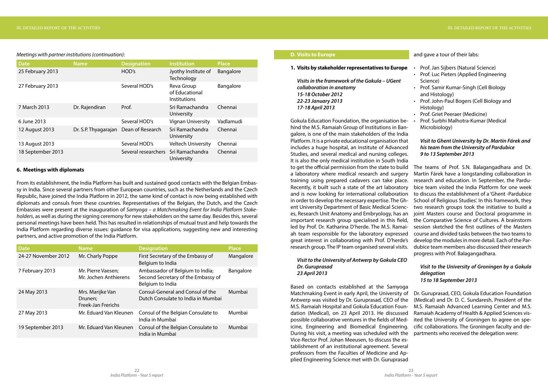#### *Meetings with partner institutions (continuation):*

| <b>Date</b>       | <b>Name</b>          | <b>Designation</b>  | Institution                                         | <b>Place</b> |
|-------------------|----------------------|---------------------|-----------------------------------------------------|--------------|
| 25 February 2013  |                      | HOD's               | Jyothy Institute of<br>Technology                   | Bangalore    |
| 27 February 2013  |                      | Several HOD's       | Reva Group<br>of Educational<br><b>Institutions</b> | Bangalore    |
| 7 March 2013      | Dr. Rajendiran       | Prof.               | Sri Ramachandra<br>University                       | Chennai      |
| 6 June 2013       |                      | Several HOD's       | <b>Vignan University</b>                            | Vadlamudi    |
| 12 August 2013    | Dr. S.P. Thyagarajan | Dean of Research    | Sri Ramachandra<br>University                       | Chennai      |
| 13 August 2013    |                      | Several HOD's       | <b>Veltech University</b>                           | Chennai      |
| 18 September 2013 |                      | Several researchers | Sri Ramachandra<br>University                       | Chennai      |

# **6. Meetings with diplomats**

From its establishment, the India Platform has built and sustained good contacts with the Belgian Embassy in India. Since several partners from other European countries, such as the Netherlands and the Czech Republic, have joined the India Platform in 2012, the same kind of contact is now being established with diplomats and consuls from these countries. Representatives of the Belgian, the Dutch, and the Czech Embassies were present at the inauguration of *Samyoga – a Matchmaking Event for India Platform Stakeholders*, as well as during the signing ceremony for new stakeholders on the same day. Besides this, several personal meetings have been held. This has resulted in relationships of mutual trust and help towards the India Platform regarding diverse issues: guidance for visa applications, suggesting new and interesting partners, and active promotion of the India Platform.

| <b>Date</b>         | <b>Name</b>                                       | <b>Designation</b>                                                                        | <b>Place</b> |
|---------------------|---------------------------------------------------|-------------------------------------------------------------------------------------------|--------------|
| 24-27 November 2012 | Mr. Charly Poppe                                  | First Secretary of the Embassy of<br>Belgium to India                                     | Mangalore    |
| 7 February 2013     | Mr. Pierre Vaesen;<br>Mr. Jochen Anthierens       | Ambassador of Belgium to India;<br>Second Secretary of the Embassy of<br>Belgium to India | Bangalore    |
| 24 May 2013         | Mrs. Marijke Van<br>Drunen;<br>Freek-Jan Frerichs | Consul-General and Consul of the<br>Dutch Consulate to India in Mumbai                    | Mumbai       |
| 27 May 2013         | Mr. Eduard Van Kleunen                            | Consul of the Belgian Consulate to<br>India in Mumbai                                     | Mumbai       |
| 19 September 2013   | Mr. Eduard Van Kleunen                            | Consul of the Belgian Consulate to<br>India in Mumbai                                     | Mumbai       |

# **D. Visits to Europe**

### **1. Visits by stakeholder representatives to Europe**

*Visits in the framework of the Gokula – UGent collaboration in anatomy 15-18 October 2012 22-23 January 2013 17-18 April 2013*

# *Visit to the University of Antwerp by Gokula CEO Dr. Guruprasad 23 April 2013*

Gokula Education Foundation, the organisation behind the M.S. Ramaiah Group of Institutions in Bangalore, is one of the main stakeholders of the India Platform. It is a private educational organisation that includes a huge hospital, an Institute of Advanced Studies, and several medical and nursing colleges. It is also the only medical institution in South India to get the official permission from the state to build a laboratory where medical research and surgery training using prepared cadavers can take place. Recently, it built such a state of the art laboratory and is now looking for international collaboration in order to develop the necessary expertise. The Ghent University Department of Basic Medical Sciences, Research Unit Anatomy and Embryology, has an important research group specialised in this field, led by Prof. Dr. Katharina D'herde. The M.S. Ramaiah team responsible for the laboratory expressed great interest in collaborating with Prof. D'herde's research group. The IP team organised several visits. Prof. Surbhi Malhotra-Kumar (Medical Microbiology) *Visit to Ghent University by Dr. Martin Fárek and his team from the University of Pardubice 9 to 13 September 2013*  The teams of Prof. S.N. Balagangadhara and Dr. Martin Fárek have a longstanding collaboration in research and education. In September, the Pardubice team visited the India Platform for one week to discuss the establishment of a 'Ghent -Pardubice School of Religious Studies'. In this framework, they two research groups took the initiative to build a joint Masters course and Doctoral programme in the Comparative Science of Cultures. A brainstorm session sketched the first outlines of the Masters course and divided tasks between the two teams to develop the modules in more detail. Each of the Pardubice team members also discussed their research progress with Prof. Balagangadhara.

# and gave a tour of their labs:

- Prof. Jan Sijbers (Natural Science)
- Prof. Luc Pieters (Applied Engineering Science)
- Prof. Samir Kumar-Singh (Cell Biology and Histology)
- Prof. John-Paul Bogers (Cell Biology and Histology)
- Prof. Griet Peeraer (Medicine)
- 

Based on contacts established at the Samyoga Matchmaking Event in early April, the University of Antwerp was visited by Dr. Guruprasad, CEO of the M.S. Ramaiah Hospital and Gokula Education Foundation (Medical), on 23 April 2013. He discussed possible collaborative ventures in the fields of Medicine, Engineering and Biomedical Engineering. During his visit, a meeting was scheduled with the Vice-Rector Prof. Johan Meeusen, to discuss the establishment of an institutional agreement. Several professors from the Faculties of Medicine and Applied Engineering Science met with Dr. Guruprasad Dr. Guruprasad, CEO, Gokula Education Foundation (Medical) and Dr. D. C. Sundaresh, President of the M.S. Ramaiah Advanced Learning Center and M.S. Ramaiah Academy of Health & Applied Sciences visited the University of Groningen to agree on specific collaborations. The Groningen faculty and departments who received the delegation were:

# *Visit to the University of Groningen by a Gokula delegation 15 to 18 September 2013*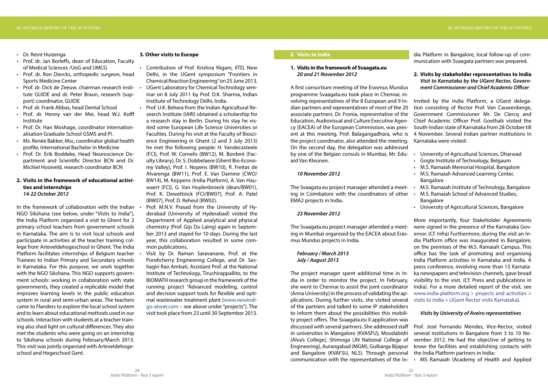- Dr. Reint Huizenga
- Prof. dr. Jan Borleffs, dean of Education, Faculty of Medical Sciences /UoG and UMCG
- Prof. dr. Ron Diercks, orthopedic surgeon, head Sports Medicine Center
- Prof. dr. Dick de Zeeuw, chairman research institute GUIDE and dr. Peter Braun, research (support) coordinator, GUIDE
- Prof. dr. Frank Abbas, head Dental School
- Prof. dr. Henny van der Mei, head W.J. Kolff Institute
- Prof. Dr. Han Moshage, coordinator internationalisation Graduate School GSMS and PI.
- Ms. Renée Bakker, Msc, coordinator global health profile, International Bachelor in Medicine
- Prof. Dr. Erik Boddeke, Head Neuroscience Department and Scientific Director BCN and Dr. Michiel Hooiveld, research coordinator BCN

# **2. Visits in the framework of educational activities and internships** *14-22 October 2012*

In the framework of collaboration with the Indian NGO Sikshana (see below, under "Visits to India"), the India Platform organised a visit to Ghent for 2 primary school teachers from government schools in Karnataka. The aim is to visit local schools and participate in activities at the teacher training college from Arteveldehogeschool in Ghent. The India Platform facilitates internships of Belgium teacher Trainees to Indian Primary and Secundary schools in Karnataka. For this purpose, we work together with the NGO Sikshana. This NGO supports government schools: working in collaboration with state governments, they created a replicable model that improves learning levels in the public education system in rural and semi-urban areas. The teachers came to Flanders to explore the local school system and to learn about educational methods used in our schools. Interaction with students at a teacher training also shed light on cultural differences. They also met the students who were going on an internship to Sikshana schools during February/March 2013. This visit was jointly organised with Arteveldehogeschool and Hogeschool Gent.

- Contribution of Prof. Krishna Nigam, IITD, New Delhi, in the UGent symposium "Frontiers in Chemical Reaction Engineering" on 25 June 2013.
- UGent Laboratory for Chemical Technology seminar on 8 July 2011 by Prof. D.K. Sharma, Indian Institute of Technology Delhi, India.
- Prof. U.K. Behera from the Indian Agricultural Research Institute (IARI) obtained a scholarship for a research stay in Berlin. During his stay he visited some European Life Science Universities or Faculties. During his visit at the Faculty of Bioscience Engineering in Ghent (2 and 3 July 2013) he met the following people: H. Vandecasteele (FCI), Prof. W. Cornelis (BW12), M. Borderé (Faculty Library), Dr. S. Dobbelaere (Ghent Bio-Economy Valley), Prof. I. Nopens (BW10), R. Freitas de Alvarenga (BW11), Prof. E. Van Damme (CWO/ BW14), M. Keppens (India Platform), A. Van Hauwaert (FCI), G. Van Huylenbroeck (dean/BW01), Prof. K. Dewettinck (FCI/BW07), Prof. A. Patel (BW07), Prof. D. Reheul (BW02).
- Prof. M.N.V. Prasad from the University of Hyderabad (University of Hyderabad) visited the Department of Applied analytical and physical chemistry (Prof. Gijs Du Laing) again in September 2013 and stayed for 10 days. During the last year, this collaboration resulted in some common publications.
- Visit by Dr. Raman Saravanane, Prof. at the Pondicherry Engineering College, and Dr. Seshagiri Rao Ambati, Assistant Prof. at the National Institute of Technology, Tiruchirappallito, to the BIOMATH research group in the framework of the running project "Advanced modeling, control and decision support tools for flexible and optimal wastewater treatment plant (www.newindigo-atwat.com – see above under "projects"). The visit took place from 23 until 30 September 2013.

A first consortium meeting of the Erasmus Mundus programme Svaagata.eu took place in Chennai, involving representatives of the 8 European and 9 Indian partners and representatives of most of the 20 associate partners. Dr. Fronia, representative of the Education, Audiovisual and Culture Executive Agency (EACEA) of the European Commission, was present at this meeting. Prof. Balagangadhara, who is the project coordinator, also attended the meeting. On the second day, the delegation was addressed by one of the Belgian consuls in Mumbai, Mr. Eduard Van Kleunen. Invited by the India Platform, a UGent delegation consisting of Rector Prof. Van Cauwenberge, Government Commissioner Mr. De Clercq and Chief Academic Officer Prof. Goethals visited the South-Indian state of Karnataka from 28 October till 4 November. Several Indian partner institutions in Karnataka were visited: • University of Agricultural Sciences, Dharwad Gogte Institute of Technology, Belgaum

#### **3. Other visits to Europe**

The Svaagata.eu project manager attended a meet-  $\cdot$ ing in Coimbatore with the coordinators of other • EMA2 projects in India.

of the partners and talked to some IP stakeholders to inform them about the possibilities this mobility project offers. The Svaagata.eu II application was discussed with several partners. She addressed staff in universities in Mangalore (KVASFU), Moodabidri (Alva's College), Shimoga (JN National College of Engineering), Aurangabad (MGM), Gulbarga Bijapur and Bangalore (KVAFSU, NLS). Through personal communication with the representatives of the In-*Visits by University of Aveiro representatives* Prof. José Fernando Mendes, Vice-Rector, visited several institutions in Bangalore from 3 to 10 November 2012. He had the objective of getting to know the facilities and establishing contacts with the India Platform partners in India: • MS Ramaiah (Academy of Health and Applied

# **E. Visits to India**

# **1. Visits in the framework of Svaagata.eu** *20 and 21 November 2012*

### *10 November 2012*

#### *23 November 2012*

dia Platform in Bangalore, local follow-up of communication with Svaagata partners was prepared.

# **2. Visits by stakeholder representatives to India** *Visit to Karnataka by the UGent Rector, Government Commissioner and Chief Academic Officer*

- 
- 
- M.S. Ramaiah Memorial Hospital, Bangalore
- M.S. Ramaiah Advanced Learning Center, Bangalore
- M.S. Ramaiah Institute of Technology, Bangalore
- M.S. Ramaiah School of Advanced Studies, **Bangalore**
- University of Agricultural Sciences, Bangalore

The Svaagata.eu project manager attended a meeting in Mumbai organised by the EACEA about Erasmus Mundus projects in India. *February / March 2013 July / August 2013* The project manager spent additional time in India in order to monitor the project. In February, she went to Chennai to assist the joint coordinator (Anna University) in the process of validating the applications. During further visits, she visited several More importantly, four Stakeholder Agreements were signed in the presence of the Karnataka Governor. (Cf. Infra) Furthermore, during the visit an India Platform office was inaugurated in Bangalore, on the premises of the M.S. Ramaiah Campus. This office has the task of promoting and organising India Platform activities in Karnataka and India. A press conference, involving more than 15 Karnataka newspapers and television channels, gave broad visibility to the visit. (Cf. Press and publications in India). For a more detailed report of the visit, see www.india-platform.org > projects and activities > visits to India > UGent Rector visits Karnataka).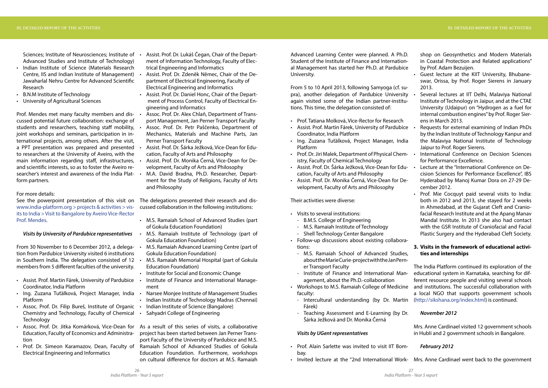Sciences: Institute of Neurosciences: Institute of  $\cdot$ Advanced Studies and Institute of Technology)

- Indian Institute of Science (Materials Research Centre, IIS and Indian Institute of Management) Jawaharlal Nehru Centre for Advanced Scientific Research
- B.N.M Institute of Technology
- University of Agricultural Sciences

Prof. Mendes met many faculty members and discussed potential future collaboration: exchange of students and researchers, teaching staff mobility, joint workshops and seminars, participation in international projects, among others. After the visit, a PPT presentation was prepared and presented to researchers at the University of Aveiro, with the main information regarding staff, infrastructures, and scientific interests, so as to foster the Aveiro researcher's interest and awareness of the India Plat-  $\cdot$ form partners.

From 30 November to 6 December 2012, a delega-  $\cdot$ tion from Pardubice University visited 6 institutions in Southern India. The delegation consisted of  $12 \cdot$ members from 5 different faculties of the university.

- Assist. Prof. Martin Fárek, University of Pardubice Coordinator, India Platform
- Ing. Zuzana Tuťálková, Project Manager, India Narsee Monjee Institute of Management Studies Platform
- Assoc. Prof. Dr. Filip Bureš, Institute of Organic Chemistry and Technology, Faculty of Chemical **Technology**
- Assoc. Prof. Dr. Jitka Komárková, Vice-Dean for As a result of this series of visits, a collaborative Education, Faculty of Economics and Administration
- Prof. Dr. Simeon Karamazov, Dean, Faculty of Electrical Engineering and Informatics

### For more details:

www.india-platform.org > projects & activities > visits to India > Visit to Bangalore by Aveiro Vice-Rector Prof. Mendes.

#### *Visits by University of Pardubice representatives*

- Assist. Prof. Dr. Lukáš Čegan, Chair of the Department of Information Technology, Faculty of Electrical Engineering and Informatics
- Assist. Prof. Dr. Zdeněk Němec, Chair of the Department of Electrical Engineering, Faculty of Electrical Engineering and Informatics
- Assist. Prof. Dr. Daniel Honc, Chair of the Department of Process Control, Faculty of Electrical Engineering and Informatics
- Assoc. Prof. Dr. Alex Chlaň, Department of Transport Management, Jan Perner Transport Faculty
- Assoc. Prof. Dr. Petr Paščenko, Department of Mechanics, Materials and Machine Parts, Jan Perner Transport Faculty
- Assist. Prof. Dr. Šárka Ježková, Vice-Dean for Education, Faculty of Arts and Philosophy
- Assist. Prof. Dr. Monika Černá, Vice-Dean for Development, Faculty of Arts and Philosophy
- M.A. David Bradna, Ph.D. Researcher, Department for the Study of Religions, Faculty of Arts and Philosophy

See the powerpoint presentation of this visit on The delegations presented their research and discussed collaboration in the following institutions:

- M.S. Ramaiah School of Advanced Studies (part of Gokula Education Foundation)
- M.S. Ramaiah Institute of Technology (part of Gokula Education Foundation)
- M.S. Ramaiah Advanced Learning Centre (part of Gokula Education Foundation)
- M.S. Ramaiah Memorial Hospital (part of Gokula Education Foundation)
- Institute for Social and Economic Change
- Institute of Finance and International Management
- 
- Indian Institute of Technology Madras (Chennai)
- Indian Institute of Science (Bangalore)
- Sahyadri College of Engineering
- Visits to several institutions:
- B.M.S. College of Engineering
- M.S. Ramaiah Institute of Technology
- Shell Technology Center Bangalore
- Follow-up discussions about existing collaborations:
	- M.S. Ramaiah School of Advanced Studies, about the Marie Curie-project with the Jan Pern er Transport Faculty
	- Institute of Finance and International Man agement, about the Ph.D.-collaboration
- Workshops to M.S. Ramaiah College of Medicine and institutions. The successful collaboration with faculty:
	- Intercultural understanding (by Dr. Martin Fárek)
	- Teaching Assessment and E-Learning (by Dr. Šárka Ježková and Dr. Monika Černá
- Guest lecture at the KIIT University, Bhubaneswar, Orissa, by Prof. Roger Sierens in January 2013.
- Several lectures at IIT Delhi, Malaviya National Institute of Technology in Jaipur, and at the CTAE University (Udaipur) on "Hydrogen as a fuel for internal combustion engines" by Prof. Roger Sierens in March 2013.
- Prof. Tatiana Molková, Vice-Rector for Research
- Coordinator, India Platform Platform Requests for external examining of Indian PhDs by the Indian Institute of Technology Kanpur and the Malaviya National Institute of Technology Jaipur to Prof. Roger Sierens.
- Assist. Prof. Martin Fárek, University of Pardubice • Ing. Zuzana Tuťálková, Project Manager, India
- Prof. Dr. Jiri Malek, Department of Physical Chemistry, Faculty of Chemical Technology International Conference on Decision Sciences for Performance Excellence.
- Assist. Prof. Dr. Šárka Ježková, Vice-Dean for Edu- cation, Faculty of Arts and Philosophy Assist. Prof. Dr. Monika Černá, Vice-Dean for Development, Faculty of Arts and Philosophy Lecture at the "International Conference on Decision Sciences for Performance Excellence", IBS Hyderabad by Manoj Kumar Dora on 27-29 December 2012.
- 

Prof. Mie Cocquyt paid several visits to India: both in 2012 and 2013, she stayed for 2 weeks in Ahmedabad, at the Gujarat Cleft and Craniofacial Research Institute and at the Apang Manav Mandal Institute. In 2013 she also had contact with the GSR Institute of Craniofacial and Facial Plastic Surgery and the Hyderabad Cleft Society.

project has been started between Jan Perner Transport Faculty of the University of Pardubice and M.S. Ramaiah School of Advanced Studies of Gokula Education Foundation. Furthermore, workshops on cultural difference for doctors at M.S. Ramaiah Advanced Learning Center were planned. A Ph.D. Student of the Institute of Finance and International Management has started her Ph.D. at Pardubice University.

From 5 to 10 April 2013, following Samyoga (cf. supra), another delegation of Pardubice University again visited some of the Indian partner-institutions. This time, the delegation consisted of:

Their activities were diverse:

### *Visits by UGent representatives*

- Prof. Alain Sarlette was invited to visit IIT Bombay.
- Invited lecture at the "2nd International Work- Mrs. Anne Cardinael went back to the government

shop on Geosynthetics and Modern Materials in Coastal Protection and Related applications" by Prof. Adam Bezuijen.

# **3. Visits in the framework of educational activities and internships**

The India Platform continued its exploration of the educational system in Karnataka, searching for different resource people and visiting several schools a local NGO that supports government schools (http://sikshana.org/index.html) is continued.

# *November 2012*

Mrs. Anne Cardinael visited 12 government schools in Hubli and 2 government schools in Bangalore.

# *February 2012*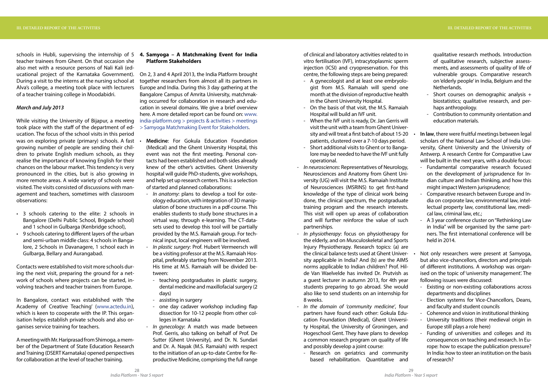schools in Hubli, supervising the internship of 5 **4. Samyoga – A Matchmaking Event for India** teacher trainees from Ghent. On that occasion she also met with a resource persons of Nali Kali (educational project of the Karnataka Government). On 2, 3 and 4 April 2013, the India Platform brought During a visit to the interns at the nursing school at Alva's college, a meeting took place with lecturers of a teacher training college in Moodabidri.

### *March and July 2013*

- 3 schools catering to the elite: 2 schools in Bangalore (Delhi Public School, Brigade school) and 1 school in Gulbarga (Kenbridge school),
- 9 schools catering to different layers of the urban and semi-urban middle class: 4 schools in Bangalore, 2 Schools in Davanagere, 1 school each in Gulbarga, Bellary and Aurangabad.

While visiting the University of Bijapur, a meeting took place with the staff of the department of education. The focus of the school visits in this period was on exploring private (primary) schools. A fast . growing number of people are sending their children to private English medium schools, as they realise the importance of knowing English for their chances on the labour market. This tendency is very pronounced in the cities, but is also growing in more remote areas. A wide variety of schools were visited. The visits consisted of discussions with management and teachers, sometimes with classroom observations:

Contacts were established to visit more schools during the next visit, preparing the ground for a network of schools where projects can be started, involving teachers and teacher trainers from Europe.

In Bangalore, contact was established with 'the Academy of Creative Teaching' (www.actedu.in), which is keen to cooperate with the IP. This organisation helps establish private schools and also organises service training for teachers.

A meeting with Mr. Hariprasad from Shimoga, a member of the Department of State Education Research and Training (DSERT Karnataka) opened perspectives for collaboration at the level of teacher training.

# **Platform Stakeholders**

together researchers from almost all its partners in Europe and India. During this 3 day gathering at the Bangalore Campus of Amrita University, matchmaking occurred for collaboration in research and education in several domains. We give a brief overview here. A more detailed report can be found on: www. india-platform.org > projects & activities > meetings > Samyoga Matchmaking Event for Stakeholders.

- **Medicine**: For Gokula Education Foundation (Medical) and the Ghent University Hospital, this event was not the first meeting. Personal contacts had been established and both sides already knew of the other's activities. Ghent University hospital will guide PhD-students, give workshops, and help set up research centers. This is a selection of started and planned collaborations:
- *In anatomy*: plans to develop a tool for osteology education, with integration of 3D manipulation of bone structures in a pdf-course. This enables students to study bone structures in a virtual way, through e-learning. The CT-datasets used to develop this tool will be partially provided by the M.S. Ramaiah group. For technical input, local engineers will be involved.
- *In plastic surgery*: Prof. Hubert Vermeersch will be a visiting professor at the M.S. Ramaiah Hospital, preferably starting from November 2013. His time at M.S. Ramaiah will be divided between:
- teaching postgraduates in plastic surgery, dental medicine and maxillofacial surgery (2 days)
- assisting in surgery
- one day cadaver workshop including flap dissection for 10-12 people from other colleges in Karnataka
- *In gynecology*: A match was made between Prof. Gerris, also talking on behalf of Prof. De Sutter (Ghent University), and Dr. N. Sundari and Dr. A. Nayak (M.S. Ramaiah) with respect to the initiation of an up-to-date Centre for Reproductive Medicine, comprising the full range

of clinical and laboratory activities related to in vitro fertilisation (IVF), intracytoplasmic sperm injection (ICSI) and cryopreservation. For this centre, the following steps are being prepared:

- A gynecologist and at least one embryologist from M.S. Ramaiah will spend one month at the division of reproductive health in the Ghent University Hospital.
- On the basis of that visit, the M.S. Ramaiah Hospital will build an IVF unit.
- When the IVF unit is ready, Dr. Jan Gerris will visit the unit with a team from Ghent University and will treat a first batch of about 15-20 patients, clustered over a 7-10 days period.
- Short additional visits to Ghent or to Bangalore may be needed to have the IVF unit fully operational.
- *In neurosciences*: Representatives of Neurology, Neurosciences and Anatomy from Ghent University (UG) will visit the M.S. Ramaiah Institute of Neurosciences (MSRINS) to get first-hand knowledge of the type of clinical work being done, the clinical spectrum, the postgraduate training program and the research interests. This visit will open up areas of collaboration and will further reinforce the value of such partnerships.
- *In physiotherapy*: focus on physiotherapy for the elderly, and on Musculoskeletal and Sports Injury Physiotherapy. Research topics: (a) are the clinical balance tests used at Ghent University applicable in India? And (b) are the AIMS norms applicable to Indian children? Prof. Hilde Van Waelvelde has invited Dr. Prutvish as a guest lecturer in autumn 2013, for 4th year students preparing to go abroad. She would also like to send students on an internship for 8 weeks. held in 2014. Not only researchers were present at Samyoga, but also vice-chancellors, directors and principals of different institutions. A workshop was organised on the topic of 'university management'. The following issues were discussed: - Existing or non-existing collaborations across departments and disciplines - Election systems for Vice-Chancellors, Deans,
- *In the domain of 'community medicine'*, four partners have found each other: Gokula Education Foundation (Medical), Ghent University Hospital, the University of Groningen, and Hogeschool Gent. They have plans to develop a common research program on quality of life and possibly develop a joint course:
	- Research on geriatrics and community based rehabilitation. Quantitative and

qualitative research methods. Introduction of qualitative research, subjective assessments, and assessments of quality of life of vulnerable groups. Comparative research on 'elderly people' in India, Belgium and the Netherlands.

- Short courses on demographic analysis + biostatistics; qualitative research, and perhaps anthropology.
- Contribution to community orientation and education materials.
- **In law**, there were fruitful meetings between legal scholars of the National Law School of India University, Ghent University and the University of Antwerp. A research Centre for Comparative Law will be built in the next years, with a double focus:
- Fundamental comparative research focused on the development of jurisprudence for Indian culture and Indian thinking, and how this might impact Western jurisprudence;
- Comparative research between Europe and India on corporate law, environmental law, intellectual property law, constitutional law, medical law, criminal law, etc.;
- A 3 year conference cluster on "Rethinking Law in India" will be organised by the same partners. The first international conference will be

- and faculty and student councils
- Coherence and vision in institutional thinking
- University traditions (their medieval origin in Europe still plays a role here)
- Funding of universities and colleges and its consequences on teaching and research. In Europe: how to escape the publication pressure? In India: how to steer an institution on the basis of research?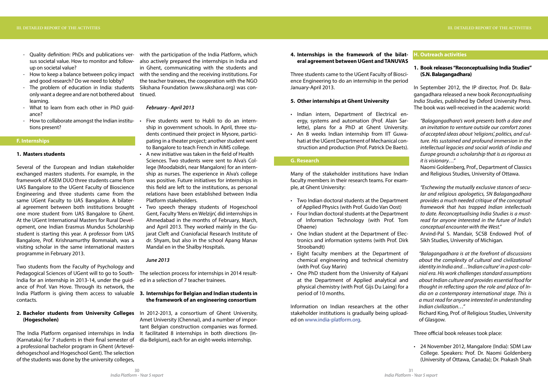- Ouality definition: PhDs and publications versus societal value. How to monitor and followup on societal value?
- and good research? Do we need to lobby?
- only want a degree and are not bothered about tinued. learning.
- What to learn from each other in PhD guidance?
- How to collaborate amongst the Indian institu-  $\cdot$ tions present?

# **F. Internships**

#### **1. Masters students**

The India Platform organised internships in India It facilitated 8 internships in both directions (In-(Karnataka) for 7 students in their final semester of a professional bachelor program in Ghent (Arteveldehogeschool and Hogeschool Gent). The selection of the students was done by the university colleges,

Several of the European and Indian stakeholder exchanged masters students. For example, in the framework of ASEM DUO three students came from UAS Bangalore to the UGent Faculty of Bioscience Engineering and three students came from the same UGent Faculty to UAS Bangalore. A bilateral agreement between both institutions brought one more student from UAS Bangalore to Ghent. At the UGent International Masters for Rural Development, one Indian Erasmus Mundus Scholarship student is starting this year. A professor from UAS Bangalore, Prof. Krishnamurthy Bommaiah, was a visiting scholar in the same international masters programme in February 2013.

- How to keep a balance between policy impact with the sending and the receiving institutions. For - The problem of education in India: students Sikshana Foundation (www.sikshana.org) was conwith the participation of the India Platform, which also actively prepared the internships in India and in Ghent, communicating with the students and the teacher trainees, the cooperation with the NGO

Two students from the Faculty of Psychology and Pedagogical Sciences of UGent will to go to South-India for an internship in 2013-14, under the guidance of Prof. Van Hove. Through its network, the India Platform is giving them access to valuable **3. Internships for Belgian and Indian students in** contacts.

- Five students went to Hubli to do an internship in government schools. In April, three students continued their project in Mysore, participating in a theater project; another student went to Bangalore to teach French in AIMS college.
- A new initiative was taken in the field of Health Sciences. Two students were sent to Alva's College (Moodabidri, near Mangalore) for an internship as nurses. The experience in Alva's college was positive. Future initiatives for internships in this field are left to the institutions, as personal relations have been established between India Platform stakeholders.
- Two speech therapy students of Hogeschool Gent, Faculty 'Mens en Welzijn', did internships in Ahmedabad in the months of February, March, and April 2013. They worked mainly in the Gujarat Cleft and Craniofacial Research Institute of dr. Shyam, but also in the school Apang Manav Mandal en in the Shalby Hospitals.

# **(Hogescholen)**

### *February - April 2013*

- Two Indian doctoral students at the Department of Applied Physics (with Prof. Guido Van Oost)
- Four Indian doctoral students at the Department of Information Technology (with Prof. Tom Dhaene)
- One Indian student at the Department of Electronics and information systems (with Prof. Dirk Stroobandt)
- Eight faculty members at the Department of chemical engineering and technical chemistry (with Prof. Guy Marin)
- One PhD student from the University of Kalyani at the Department of Applied analytical and physical chemistry (with Prof. Gijs Du Laing) for a period of 10 months.

**2. Bachelor students from University Colleges** In 2012-2013, a consortium of Ghent University, Amet University (Chennai), and a number of important Belgian construction companies was formed. dia-Belgium), each for an eight-weeks internship.

# *June 2013*

The selection process for internships in 2014 resulted in a selection of 7 teacher trainees.

# **the framework of an engineering consortium**

• 24 November 2012, Mangalore (India): SDM Law College. Speakers: Prof. Dr. Naomi Goldenberg (University of Ottawa, Canada); Dr. Prakash Shah

# **4. Internships in the framework of the bilateral agreement between UGent and TANUVAS**

Three students came to the UGent Faculty of Bioscience Engineering to do an internship in the period January-April 2013.

# **5. Other internships at Ghent University**

- • Indian intern, Department of Electrical energy, systems and automation (Prof. Alain Sarlette), plans for a PhD at Ghent University.
- An 8 weeks Indian internship from IIT Guwahati at the UGent Department of Mechanical construction and production (Prof. Patrick De Baets).

# **G. Research**

Many of the stakeholder institutions have Indian faculty members in their research teams. For example, at Ghent University:

Information on Indian researchers at the other stakeholder institutions is gradually being uploaded on www.india-platform.org.

# **H. Outreach activities**

# **1. Book releases "Reconceptualising India Studies" (S.N. Balagangadhara)**

In September 2012, the IP director, Prof. Dr. Balagangadhara released a new book *Reconceptualising India Studies*, published by Oxford University Press. The book was well-received in the academic world:

*"Balagangadhara's work presents both a dare and an invitation to venture outside our comfort zones of accepted ideas about 'religions', politics, and culture. His sustained and profound immersion in the intellectual legacies and social worlds of India and Europe grounds a scholarship that is as rigorous as it is visionary…"*

Naomi Goldenberg, Prof., Department of Classics and Religious Studies, University of Ottawa.

*"Eschewing the mutually exclusive stances of secular and religious apologetics, SN Balagangadhara provides a much needed critique of the conceptual framework that has trapped Indian intellectuals to date. Reconceptualising India Studies is a mustread for anyone interested in the future of India's conceptual encounter with the West."*

Arvind-Pal S. Mandair, SCSB Endowed Prof. of Sikh Studies, University of Michigan.

*"Balagangadhara is at the forefront of discussions about the complexity of cultural and civilizational identity in India and…'Indian culture' in a post-colonial era. His work challenges standard assumptions about Indian culture and provides essential food for thought in reflecting upon the role and place of India on a contemporary international stage. This is a must read for anyone interested in understanding Indian civilization…"*

Richard King, Prof. of Religious Studies, University of Glasgow.

Three official book releases took place: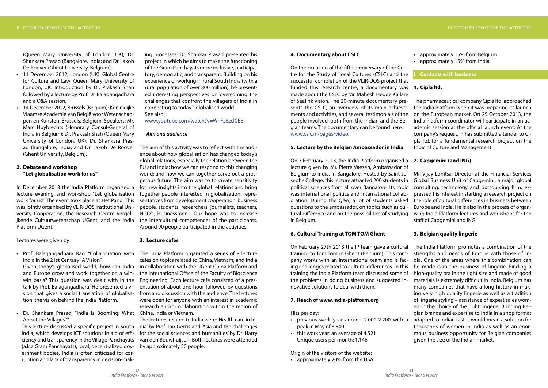- approximately 15% from Belgium
- approximately 15% from India

(Queen Mary University of London, UK); Dr. Shankara Prasad (Bangalore, India; and Dr. Jakob De Roover (Ghent University, Belgium).

- 11 December 2012, London (UK): Global Centre for Culture and Law, Queen Mary University of London, UK. Introduction by Dr. Prakash Shah followed by a lecture by Prof. Dr. Balagangadhara and a Q&A session.
- 14 December 2012, Brussels (Belgium): Koninklijke Vlaamse Academie van België voor Wetenschappen en Kunsten, Brussels, Belgium. Speakers: Mr. Marc Huybrechts (Honorary Consul-General of India in Belgium); Dr. Prakash Shah (Queen Mary University of London, UK); Dr. Shankara Pras-(Ghent University, Belgium).

• Dr. Shankara Prasad, "India is Booming: What China, India or Vietnam. About the Villages?"

# **2. Debate and workshop "Let globalisation work for us"**

In December 2013 the India Platform organised a lecture evening and workshop "Let globalisation work for us!" The event took place at Het Pand. This was jointly organised by VLIR-UOS Institutional University Cooperation, the Research Centre Vergelijkende Cultuurwetenschap UGent, and the India Platform UGent.

Lectures were given by:

India in the 21st Century: A Vision" and Europe grow and work together on a win-

win basis? This question was dealt with in the talk by Prof. Balagangadhara. He presented a vision that gives a social translation of globalisation: the vision behind the India Platform.

• Prof. Balagangadhara Rao, "Collaboration with The India Platform organised a series of 8 lecture Given today's globalised world, how can India in collaboration with the UGent China Platform and cafés on topics related to China, Vietnam, and India the International Office of the Faculty of Bioscience Engineering. Each lecture café consisted of a presentation of about one hour followed by questions from and discussion with the audience. The lectures were open for anyone with an interest in academic research and/or collaboration within the region of

This lecture discussed a specific project in South India, which develops ICT solutions in aid of efficiency and transparency in the Village Panchayats (a.k.a Gram Panchayats), local, decentralized government bodies. India is often criticized for corruption and lack of transparency in decision-mak-

ad (Bangalore, India; and Dr. Jakob De Roover The aim of this activity was to reflect with the audience about how globalisation has changed today's global relations, especially the relation between the EU and India; how we can respond to this changing world; and how we can together carve out a prosperous future. The aim was to to create sensitivity for new insights into the global relations and bring together people interested in globalisation: representatives from development cooperation, business people, students, researchers, journalists, teachers, NGO's, businessmen... Our hope was to increase the intercultural competences of the participants. Around 90 people participated in the activities.

ing processes. Dr. Shankar Prasad presented his project in which he aims to make the functioning of the Gram Panchayats more inclusive, participatory, democratic, and transparent. Building on his experience of working in rural South India (with a rural population of over 800 million), he presented interesting perspectives on overcoming the challenges that confront the villagers of India in connecting to today's globalised world. See also:

www.youtube.com/watch?v=WhFz6zclCEE

# *Aim and audience*

#### **3. Lecture cafés**

The lectures related to India were: 'Health care in India' by Prof. Jan Gerris and 'Asia and the challenges for the social sciences and humanities' by Dr. Harry van den Bouwhuijsen. Both lectures were attended by approximately 50 people.

#### **4. Documentary about CSLC**

On the occasion of the fifth anniversary of the Centre for the Study of Local Cultures (CSLC) and the successful completion of the VLIR-UOS project that funded this research centre, a documentary was **1. Cipla ltd.** made about the CSLC by Mr. Mahesh Hegde Kallare of Sealink Vision. The 20-minute documentary presents the CSLC, an overview of its main achievements and activities, and several testimonials of the people involved, both from the Indian and the Belgian teams. The documentary can be found here: www.cslc.in/pages/video.

# **5. Lecture by the Belgian Ambassador in India**

### **6. Cultural Training at TOM TOM Ghent**

On 7 February 2013, the India Platform organised a **2. Capgemini (and ING)** lecture given by Mr. Pierre Vaesen, Ambassador of Belgium to India, in Bangalore. Hosted by Saint-Joseph's College, this lecture attracted 200 students in political sciences from all over Bangalore. Its topic was international politics and international collaboration. During the Q&A, a lot of students asked questions to the ambassador, on topics such as cultural difference and on the possibilities of studying in Belgium. Mr. Vijay Lohitsa, Director at the Financial Services Global Business Unit of Capgemini, a major global consulting, technology and outsourcing firm, expressed his interest in starting a research project on the role of cultural differences in business between Europe and India. He is also in the process of organising India Platform lectures and workshops for the staff of Capgemini and ING.

Origin of the visitors of the website:

• approximately 20% from the USA

# **I. Contacts with business**

The pharmaceutical company Cipla ltd. approached the India Platform when it was preparing its launch on the European market. On 25 October 2013, the India Platform coordinator will participate in an academic session at the official launch event. At the company's request, IP has submitted a tender to Cipla ltd. for a fundamental research project on the topic of Culture and Management.

On February 27th 2013 the IP team gave a cultural training to Tom Tom in Ghent (Belgium). This company works with an international team and is facing challenges related to cultural differences. In this training the India Platform team discussed some of the problems in doing business and suggested innovative solutions to deal with them. **7. Reach of www.india-platform.org** Hits per day: • previous work year around 2.000-2.200 with a peak in May of 3.540 • this work year: an average of 4.521 Unique users per month: 1.146 The India Platform promotes a combination of the strengths and needs of Europe with those of India. One of the areas where this combination can be made is in the business of lingerie. Finding a high-quality bra in the right size and made of good materials is extremely difficult in India. Belgium has many companies that have a long history in making very high quality lingerie as well as a tradition of lingerie styling – assistance of expert sales women in the choice of the right lingerie. Bringing Belgian brands and expertise to India in a shop format adapted to Indian tastes would mean a solution for thousands of women in India as well as an enormous business opportunity for Belgian companies given the size of the Indian market.

- 
- 

# **3. Belgian quality lingerie**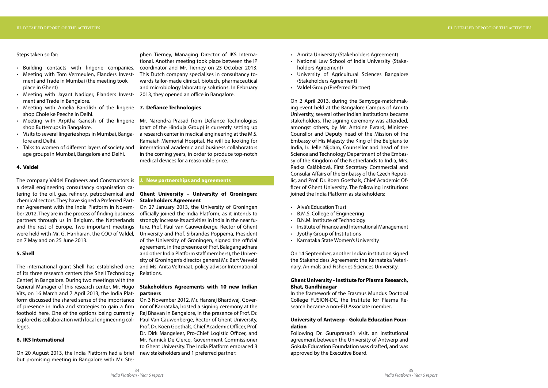Steps taken so far:

- Building contacts with lingerie companies.
- Meeting with Tom Vermeulen, Flanders Investment and Trade in Mumbai (the meeting took place in Ghent)
- Meeting with Jayant Nadiger, Flanders Investment and Trade in Bangalore.
- **•** Meeting with Amelia Bandlish of the lingerie 7. Defiance Technologies shop Chole ke Peeche in Delhi.
- shop Buttercups in Bangalore.
- Visits to several lingerie shops in Mumbai, Bangalore and Delhi.
- Talks to women of different layers of society and age groups in Mumbai, Bangalore and Delhi.

# **4. Valdel**

The company Valdel Engineers and Constructors is a detail engineering consultancy organisation catering to the oil, gas, refinery, petrochemical and chemical sectors. They have signed a Preferred Partner Agreement with the India Platform in November 2012. They are in the process of finding business partners through us in Belgium, the Netherlands strongly increase its activities in India in the near fuand the rest of Europe. Two important meetings were held with Mr. G. Hariharan, the COO of Valdel, on 7 May and on 25 June 2013.

# **5. Shell**

• Meeting with Arpitha Ganesh of the lingerie Mr. Narendra Prasad from Defiance Technologies (part of the Hinduja Group) is currently setting up a research center in medical engineering at the M.S. Ramaiah Memorial Hospital. He will be looking for international academic and business collaborators in the coming years, in order to produce top-notch medical devices for a reasonable price.

The international giant Shell has established one and Ms. Anita Veltmaat, policy advisor International of its three research centers (the Shell Technology Center) in Bangalore. During two meetings with the General Manager of this research center, Mr. Hugo Vits, on 16 March and 7 April 2013, the India Platform discussed the shared sense of the importance On 3 November 2012, Mr. Hansraj Bhardwaj, Goverof presence in India and strategies to gain a firm foothold here. One of the options being currently explored is collaboration with local engineering colleges.

# **6. IKS International**

On 20 August 2013, the India Platform had a brief but promising meeting in Bangalore with Mr. Ste-

phen Tierney, Managing Director of IKS International. Another meeting took place between the IP coordinator and Mr. Tierney on 23 October 2013. This Dutch company specialises in consultancy towards tailor-made clinical, biotech, pharmaceutical and microbiology laboratory solutions. In February 2013, they opened an office in Bangalore.

### **J. New partnerships and agreements**

# **Ghent University – University of Groningen: Stakeholders Agreement**

On 27 January 2013, the University of Groningen officially joined the India Platform, as it intends to ture. Prof. Paul van Cauwenberge, Rector of Ghent University and Prof. Sibrandes Poppema, President of the University of Groningen, signed the official agreement, in the presence of Prof. Balagangadhara and other India Platform staff members), the University of Groningen's director general Mr. Bert Verveld Relations.

# **Stakeholders Agreements with 10 new Indian partners**

nor of Karnataka, hosted a signing ceremony at the Raj Bhavan in Bangalore, in the presence of Prof. Dr. Paul Van Cauwenberge, Rector of Ghent University, Prof. Dr. Koen Goethals, Chief Academic Officer, Prof. Dr. Dirk Mangeleer, Pro-Chief Logistic Officer, and Mr. Yannick De Clercq, Government Commissioner to Ghent University. The India Platform embraced 3 new stakeholders and 1 preferred partner:

- Amrita University (Stakeholders Agreement)
- National Law School of India University (Stakeholders Agreement)
- University of Agricultural Sciences Bangalore (Stakeholders Agreement)
- Valdel Group (Preferred Partner)

On 2 April 2013, during the Samyoga-matchmaking event held at the Bangalore Campus of Amrita University, several other Indian institutions became stakeholders. The signing ceremony was attended, amongst others, by Mr. Antoine Evrard, Minister-Counsllor and Deputy head of the Mission of the Embassy of His Majesty the King of the Belgians to India, Ir. Jelle Nijdam, Counsellor and head of the Science and Technology Department of the Embassy of the Kingdom of the Netherlands to India, Mrs. Radka Calábková, First Secretary Commercial and Consular Affairs of the Embassy of the Czech Republic, and Prof. Dr. Koen Goethals, Chief Academic Officer of Ghent University. The following institutions joined the India Platform as stakeholders:

- Alva's Education Trust
- B.M.S. College of Engineering
- B.N.M. Institute of Technology
- Institute of Finance and International Management
- Jyothy Group of Institutions
- Karnataka State Women's University

On 14 September, another Indian institution signed the Stakeholders Agreement: the Karnataka Veterinary, Animals and Fisheries Sciences University.

# **Ghent University - Institute for Plasma Research, Bhat, Gandhinagar**

In the framework of the Erasmus Mundus Doctoral College FUSION-DC, the Institute for Plasma Research became a non-EU Associate member.

# **University of Antwerp - Gokula Education Foundation**

Following Dr. Guruprasad's visit, an institutional agreement between the University of Antwerp and Gokula Education Foundation was drafted, and was approved by the Executive Board.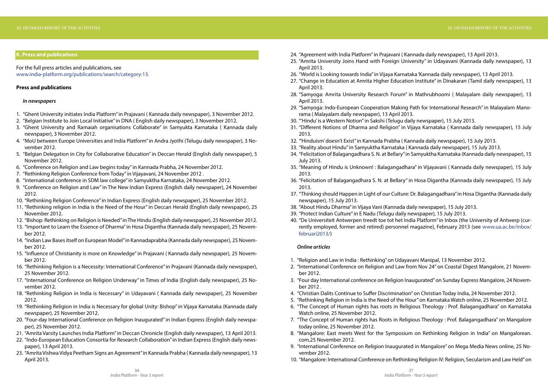# **K. Press and publications**

For the full press articles and publications, see www.india-platform.org/publications/search/category:13.

# **Press and publications**

# *In newspapers*

- 1. "Ghent University initiates India Platform" in Prajavani ( Kannada daily newspaper), 3 November 2012.
- 2. "Belgian Institute to Join Local Initiative" in DNA ( English daily newspaper), 3 November 2012.
- 3. "Ghent University and Ramaiah organisations Collaborate" in Samyukta Karnataka ( Kannada daily newspaper), 3 November 2012.
- 4. "MoU between Europe Universities and India Platform" in Andra Jyothi (Telugu daily newspaper), 3 November 2012.
- 5. "Belgian Delegation in City for Collaborative Education" in Deccan Herald (English daily newspaper), 5 November 2012.
- 6. "Conference on Religion and Law begins today" in Kannada Prabha, 24 November 2012.
- 7. "Rethinking Religion Conference from Today" in Vijayavani, 24 November 2012 .
- 8. "International conference in SDM law college" in Samyuktha Karnataka, 24 November 2012.
- 9. "Conference on Religion and Law" in The New Indian Express (English daily newspaper), 24 November 2012.
- 10. "Rethinking Religion Conference" in Indian Express (English daily newspaper), 25 November 2012.
- 11. "Rethinking religion in India is the Need of the Hour" in Deccan Herald (English daily newspaper), 25 November 2012.
- 12. "Bishop: Rethinking on Religion is Needed" in The Hindu (English daily newspaper), 25 November 2012.
- 13. "Important to Learn the Essence of Dharma" in Hosa Digantha (Kannada daily newspaper), 25 November 2012.
- 14. "Indian Law Bases itself on European Model" in Kannadaprabha (Kannada daily newspaper), 25 November 2012.
- 15. "Influence of Christianity is more on Knowledge" in Prajavani ( Kannada daily newspaper), 25 November 2012.
- 16. "Rethinking Religion is a Necessity: International Conference" in Prajavani (Kannada daily newspaper), 25 November 2012.
- 17. "International Conference on Religion Underway" in Times of India (English daily newspaper), 25 November 2012.
- 18. "Rethinking Religion in India is Necessary" in Udayavani ( Kannada daily newspaper), 25 November 2012.
- 19. "Rethinking Religion in India is Necessary for global Unity: Bishop" in Vijaya Karnataka (Kannada daily newspaper), 25 November 2012.
- 20. "Four-day International Conference on Religion Inaugurated" in Indian Express (English daily newspaper), 25 November 2012.
- 21. "Amrita Varsity Launches India Platform" in Deccan Chronicle (English daily newspaper), 13 April 2013.
- 22. "Indo‐European Education Consortia for Research Collaboration" in Indian Express (English daily newspaper), 13 April 2013.
- 23. "Amrita Vishwa Vidya Peetham Signs an Agreement" in Kannada Prabha ( Kannada daily newspaper), 13 April 2013.
- 
- 24. "Agreement with India Platform" in Prajavani ( Kannada daily newspaper), 13 April 2013. 25. "Amrita University Joins Hand with Foreign University" in Udayavani (Kannada daily newspaper), 13 April 2013.
- 26. "World is Looking towards India" in Vijaya Karnataka 'Kannada daily newspaper), 13 April 2013. 27. "Change in Education at Amrita Higher Education Institute" in Dinakaran (Tamil daily newspaper), 13
- April 2013.
- 28. "Samyoga: Amrita University Research Forum" in Mathrubhoomi ( Malayalam daily newspaper), 13 April 2013.
- 29. "Samyoga: Indo‐European Cooperation Making Path for International Research" in Malayalam Manorama ( Malayalam daily newspaper), 13 April 2013.
- 30. "'Hindu' is a Western Notion" in Sakshi (Telugu daily newspaper), 15 July 2013. 31. "Different Notions of Dharma and Religion" in Vijaya Karnataka ( Kannada daily newspaper), 15 July
- 2013.
- 32. "'Hinduism' doesn't Exist" in Kannada Prabha ( Kannada daily newspaper), 15 July 2013. 33. "Reality about Hindu" in Samyuktha Karnataka ( Kannada daily newspaper), 15 July 2013. 34. "Felicitation of Balagangadhara S. N. at Bellary" in Samyuktha Karnataka (Kannada daily newspaper), 15
- 
- July 2013.
- 35. "Meaning of Hindu is Unknown! : Balagangadhara" in Vijayavani ( Kannada daily newspaper), 15 July 2013.
- 36. "Felicitation of Balagangadhara S. N. at Bellary" in Hosa Digantha (Kannada daily newspaper), 15 July 2013.
- 37. "Thinking should Happen in Light of our Culture: Dr. Balagangadhara" in Hosa Digantha (Kannada daily newspaper), 15 July 2013.
- 
- 38. "About Hindu Dharma" in Vijaya Vani (Kannada daily newspaper), 15 July 2013. 39. "Protect Indian Culture" in E Nadu (Telugu daily newspaper), 15 July 2013.
- 40. "De Universiteit Antwerpen treedt toe tot het India Platform" in Inbox (the University of Antwerp (currently employed, former and retired) personnel magazine), February 2013 (see www.ua.ac.be/inbox/ februari2013/)

# *Online articles*

- 1. "Religion and Law in India : Rethinking" on Udayavani Manipal, 13 November 2012. 2. "International Conference on Religion and Law from Nov 24" on Coastal Digest Mangalore, 21 Novem-
- ber 2012.
- 3. "Four day International conference on Religion Inaugurated" on Sunday Express Mangalore, 24 November 2012 .
- 
- 4. "Christian Dalits Continue to Suffer Discrimination" on Christian Today India, 24 November 2012. 5. "Rethinking Religion in India is the Need of the Hour" on Karnataka Watch online, 25 November 2012. 6. "The Concept of Human rights has roots in Religious Theology : Prof. Balagangadhara" on Karnataka
- Watch online, 25 November 2012.
- 7. "The Concept of Human rights has Roots in Religious Theology : Prof. Balagangadhara" on Mangalore today online, 25 November 2012.
- 8. "Mangalore: East meets West for the Symposium on Rethinking Religion in India" on Mangalorean. com,25 November 2012.
- 9. "International Conference on Religion Inaugurated in Mangalore" on Mega Media News online, 25 November 2012.
- 10. "Mangalore: International Conference on Rethinking Religion IV: Religion, Secularism and Law Held" on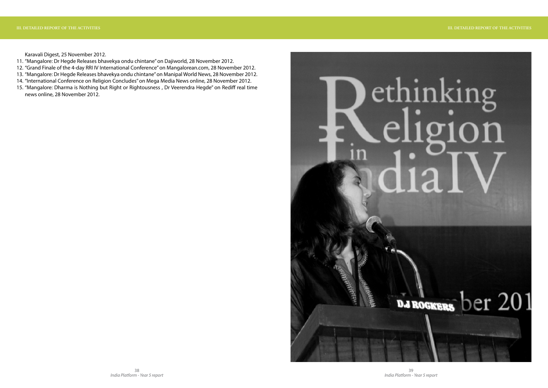Karavali Digest, 25 November 2012.

- 11. "Mangalore: Dr Hegde Releases bhavekya ondu chintane" on Dajiworld, 28 November 2012.
- 12. "Grand Finale of the 4-day RRI IV International Conference" on Mangalorean.com, 28 November 2012.
- 13. "Mangalore: Dr Hegde Releases bhavekya ondu chintane" on Manipal World News, 28 November 2012.
- 14. "International Conference on Religion Concludes" on Mega Media News online, 28 November 2012.
- 15. "Mangalore: Dharma is Nothing but Right or Rightousness , Dr Veerendra Hegde" on Rediff real time news online, 28 November 2012.